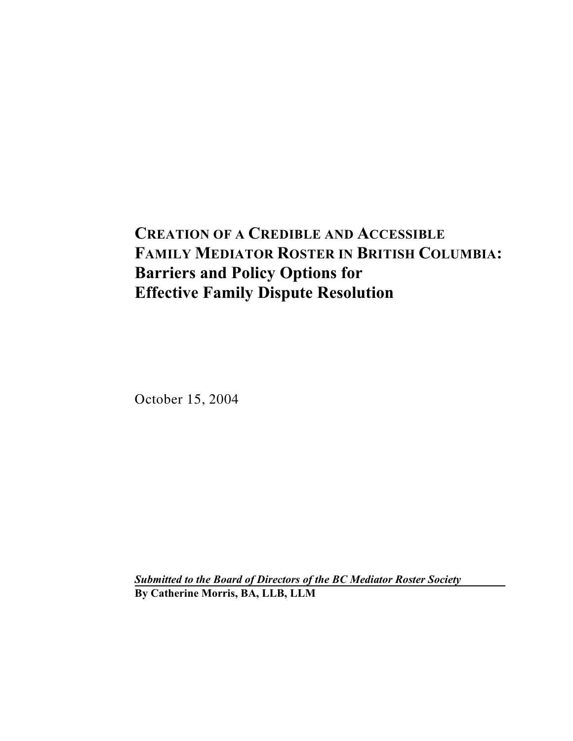# **CREATION OF A CREDIBLE AND ACCESSIBLE FAMILY MEDIATOR ROSTER IN BRITISH COLUMBIA: Barriers and Policy Options for Effective Family Dispute Resolution**

October 15, 2004

*Submitted to the Board of Directors of the BC Mediator Roster Society* **By Catherine Morris, BA, LLB, LLM**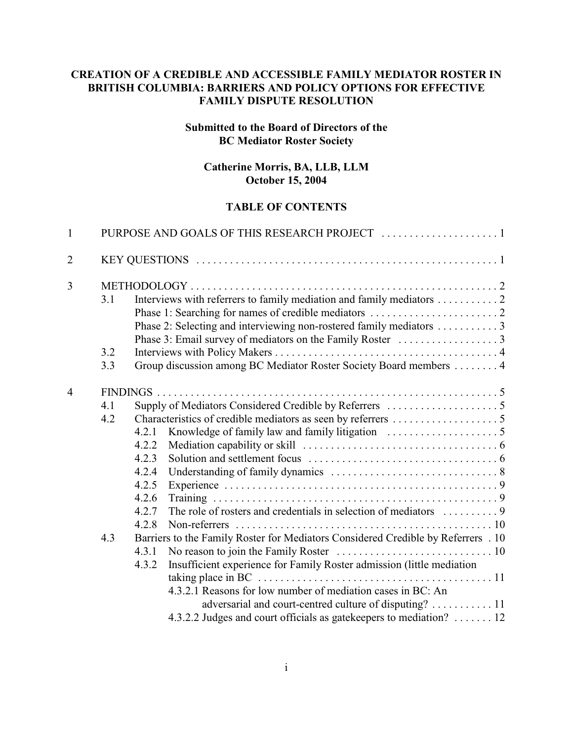#### **CREATION OF A CREDIBLE AND ACCESSIBLE FAMILY MEDIATOR ROSTER IN BRITISH COLUMBIA: BARRIERS AND POLICY OPTIONS FOR EFFECTIVE FAMILY DISPUTE RESOLUTION**

#### **Submitted to the Board of Directors of the BC Mediator Roster Society**

#### **Catherine Morris, BA, LLB, LLM October 15, 2004**

#### **TABLE OF CONTENTS**

| $\mathbf{1}$   |     |                                                                                   |
|----------------|-----|-----------------------------------------------------------------------------------|
| $\overline{2}$ |     |                                                                                   |
| $\overline{3}$ |     |                                                                                   |
|                | 3.1 | Interviews with referrers to family mediation and family mediators 2              |
|                |     |                                                                                   |
|                |     | Phase 2: Selecting and interviewing non-rostered family mediators  3              |
|                |     |                                                                                   |
|                | 3.2 |                                                                                   |
|                | 3.3 | Group discussion among BC Mediator Roster Society Board members 4                 |
| $\overline{4}$ |     |                                                                                   |
|                | 4.1 |                                                                                   |
|                | 4.2 |                                                                                   |
|                |     | 4.2.1                                                                             |
|                |     | 4.2.2                                                                             |
|                |     | 4.2.3                                                                             |
|                |     | 4.2.4                                                                             |
|                |     | 4.2.5                                                                             |
|                |     | 4.2.6                                                                             |
|                |     | 4.2.7                                                                             |
|                |     | 4.2.8                                                                             |
|                | 4.3 | Barriers to the Family Roster for Mediators Considered Credible by Referrers . 10 |
|                |     | 4.3.1                                                                             |
|                |     | Insufficient experience for Family Roster admission (little mediation<br>4.3.2    |
|                |     |                                                                                   |
|                |     | 4.3.2.1 Reasons for low number of mediation cases in BC: An                       |
|                |     | adversarial and court-centred culture of disputing?  11                           |
|                |     | 4.3.2.2 Judges and court officials as gatekeepers to mediation?  12               |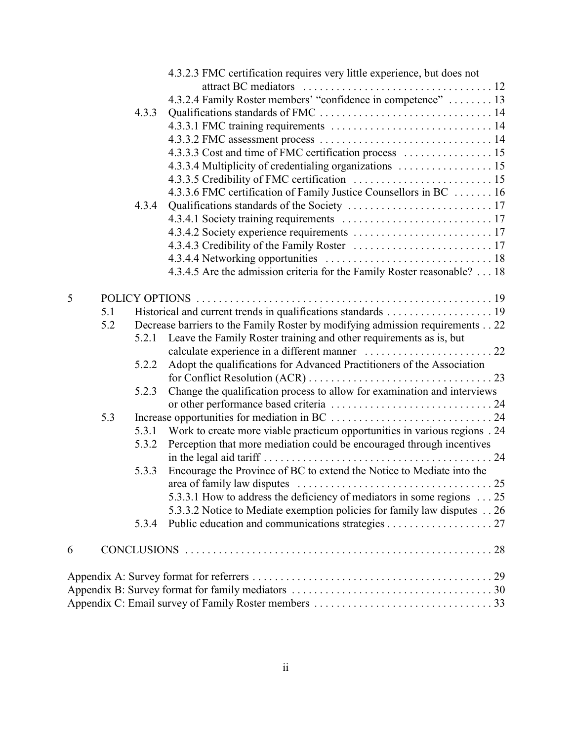|   |     |       | 4.3.2.3 FMC certification requires very little experience, but does not       |
|---|-----|-------|-------------------------------------------------------------------------------|
|   |     |       |                                                                               |
|   |     |       | 4.3.2.4 Family Roster members' "confidence in competence"  13                 |
|   |     | 4.3.3 |                                                                               |
|   |     |       |                                                                               |
|   |     |       |                                                                               |
|   |     |       |                                                                               |
|   |     |       | 4.3.3.4 Multiplicity of credentialing organizations  15                       |
|   |     |       |                                                                               |
|   |     |       | 4.3.3.6 FMC certification of Family Justice Counsellors in BC  16             |
|   |     | 4.3.4 |                                                                               |
|   |     |       |                                                                               |
|   |     |       |                                                                               |
|   |     |       |                                                                               |
|   |     |       |                                                                               |
|   |     |       | 4.3.4.5 Are the admission criteria for the Family Roster reasonable? 18       |
|   |     |       |                                                                               |
| 5 |     |       |                                                                               |
|   | 5.1 |       |                                                                               |
|   | 5.2 |       | Decrease barriers to the Family Roster by modifying admission requirements 22 |
|   |     |       | 5.2.1 Leave the Family Roster training and other requirements as is, but      |
|   |     |       |                                                                               |
|   |     | 5.2.2 | Adopt the qualifications for Advanced Practitioners of the Association        |
|   |     |       |                                                                               |
|   |     | 5.2.3 | Change the qualification process to allow for examination and interviews      |
|   |     |       |                                                                               |
|   | 5.3 |       |                                                                               |
|   |     | 5.3.1 | Work to create more viable practicum opportunities in various regions . 24    |
|   |     | 5.3.2 | Perception that more mediation could be encouraged through incentives         |
|   |     |       |                                                                               |
|   |     | 5.3.3 | Encourage the Province of BC to extend the Notice to Mediate into the         |
|   |     |       |                                                                               |
|   |     |       | 5.3.3.1 How to address the deficiency of mediators in some regions 25         |
|   |     |       | 5.3.3.2 Notice to Mediate exemption policies for family law disputes 26       |
|   |     | 5.3.4 |                                                                               |
|   |     |       |                                                                               |
| 6 |     |       |                                                                               |
|   |     |       |                                                                               |
|   |     |       |                                                                               |
|   |     |       |                                                                               |
|   |     |       |                                                                               |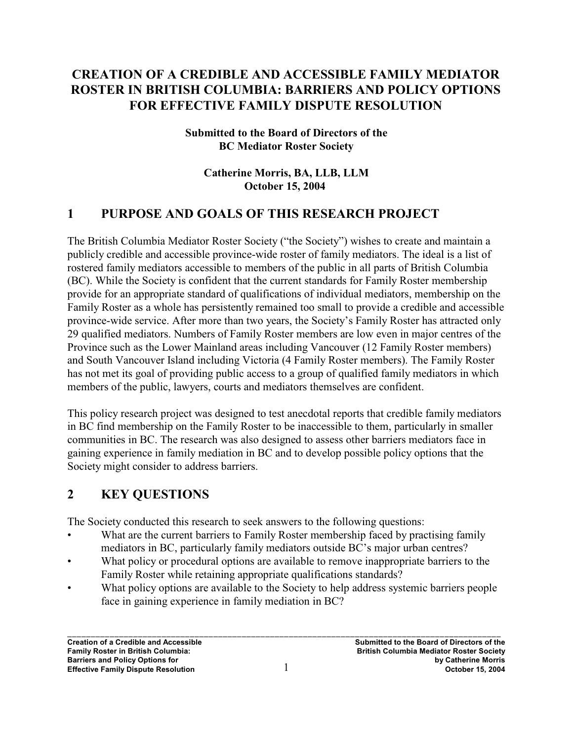# **CREATION OF A CREDIBLE AND ACCESSIBLE FAMILY MEDIATOR ROSTER IN BRITISH COLUMBIA: BARRIERS AND POLICY OPTIONS FOR EFFECTIVE FAMILY DISPUTE RESOLUTION**

#### **Submitted to the Board of Directors of the BC Mediator Roster Society**

#### **Catherine Morris, BA, LLB, LLM October 15, 2004**

# **1 PURPOSE AND GOALS OF THIS RESEARCH PROJECT**

The British Columbia Mediator Roster Society ("the Society") wishes to create and maintain a publicly credible and accessible province-wide roster of family mediators. The ideal is a list of rostered family mediators accessible to members of the public in all parts of British Columbia (BC). While the Society is confident that the current standards for Family Roster membership provide for an appropriate standard of qualifications of individual mediators, membership on the Family Roster as a whole has persistently remained too small to provide a credible and accessible province-wide service. After more than two years, the Society's Family Roster has attracted only 29 qualified mediators. Numbers of Family Roster members are low even in major centres of the Province such as the Lower Mainland areas including Vancouver (12 Family Roster members) and South Vancouver Island including Victoria (4 Family Roster members). The Family Roster has not met its goal of providing public access to a group of qualified family mediators in which members of the public, lawyers, courts and mediators themselves are confident.

This policy research project was designed to test anecdotal reports that credible family mediators in BC find membership on the Family Roster to be inaccessible to them, particularly in smaller communities in BC. The research was also designed to assess other barriers mediators face in gaining experience in family mediation in BC and to develop possible policy options that the Society might consider to address barriers.

# **2 KEY QUESTIONS**

The Society conducted this research to seek answers to the following questions:

- What are the current barriers to Family Roster membership faced by practising family mediators in BC, particularly family mediators outside BC's major urban centres?
- What policy or procedural options are available to remove inappropriate barriers to the Family Roster while retaining appropriate qualifications standards?
- What policy options are available to the Society to help address systemic barriers people face in gaining experience in family mediation in BC?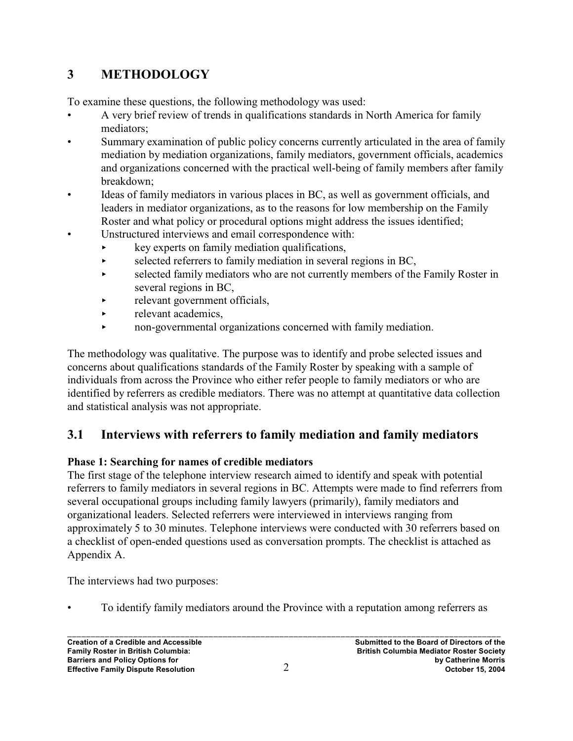# **3 METHODOLOGY**

To examine these questions, the following methodology was used:

- A very brief review of trends in qualifications standards in North America for family mediators;
- Summary examination of public policy concerns currently articulated in the area of family mediation by mediation organizations, family mediators, government officials, academics and organizations concerned with the practical well-being of family members after family breakdown;
- Ideas of family mediators in various places in BC, as well as government officials, and leaders in mediator organizations, as to the reasons for low membership on the Family Roster and what policy or procedural options might address the issues identified;
- Unstructured interviews and email correspondence with:
	- $\star$  key experts on family mediation qualifications,
	- $\triangleright$  selected referrers to family mediation in several regions in BC,
	- $\triangleright$  selected family mediators who are not currently members of the Family Roster in several regions in BC,
	- $\blacktriangleright$  relevant government officials,
	- $\blacktriangleright$  relevant academics.
	- < non-governmental organizations concerned with family mediation.

The methodology was qualitative. The purpose was to identify and probe selected issues and concerns about qualifications standards of the Family Roster by speaking with a sample of individuals from across the Province who either refer people to family mediators or who are identified by referrers as credible mediators. There was no attempt at quantitative data collection and statistical analysis was not appropriate.

# **3.1 Interviews with referrers to family mediation and family mediators**

### **Phase 1: Searching for names of credible mediators**

The first stage of the telephone interview research aimed to identify and speak with potential referrers to family mediators in several regions in BC. Attempts were made to find referrers from several occupational groups including family lawyers (primarily), family mediators and organizational leaders. Selected referrers were interviewed in interviews ranging from approximately 5 to 30 minutes. Telephone interviews were conducted with 30 referrers based on a checklist of open-ended questions used as conversation prompts. The checklist is attached as Appendix A.

The interviews had two purposes:

• To identify family mediators around the Province with a reputation among referrers as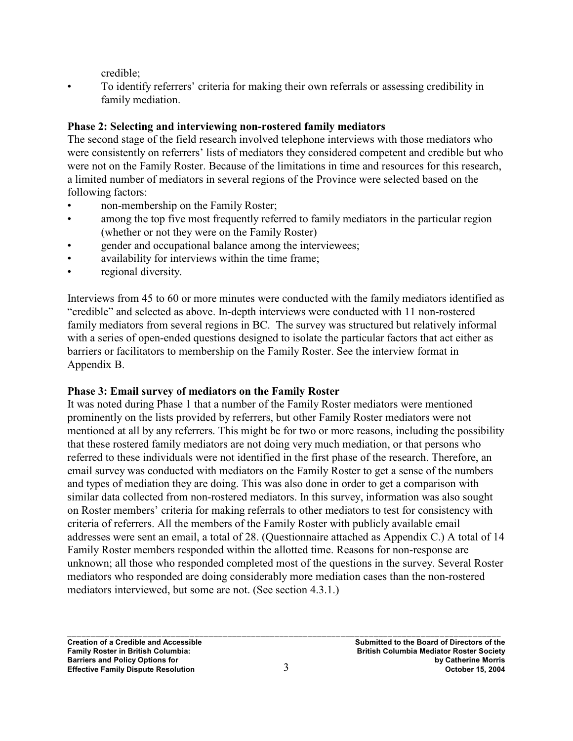credible;

• To identify referrers' criteria for making their own referrals or assessing credibility in family mediation.

### **Phase 2: Selecting and interviewing non-rostered family mediators**

The second stage of the field research involved telephone interviews with those mediators who were consistently on referrers' lists of mediators they considered competent and credible but who were not on the Family Roster. Because of the limitations in time and resources for this research, a limited number of mediators in several regions of the Province were selected based on the following factors:

- non-membership on the Family Roster;
- among the top five most frequently referred to family mediators in the particular region (whether or not they were on the Family Roster)
- gender and occupational balance among the interviewees;
- availability for interviews within the time frame;
- regional diversity.

Interviews from 45 to 60 or more minutes were conducted with the family mediators identified as "credible" and selected as above. In-depth interviews were conducted with 11 non-rostered family mediators from several regions in BC. The survey was structured but relatively informal with a series of open-ended questions designed to isolate the particular factors that act either as barriers or facilitators to membership on the Family Roster. See the interview format in Appendix B.

### **Phase 3: Email survey of mediators on the Family Roster**

It was noted during Phase 1 that a number of the Family Roster mediators were mentioned prominently on the lists provided by referrers, but other Family Roster mediators were not mentioned at all by any referrers. This might be for two or more reasons, including the possibility that these rostered family mediators are not doing very much mediation, or that persons who referred to these individuals were not identified in the first phase of the research. Therefore, an email survey was conducted with mediators on the Family Roster to get a sense of the numbers and types of mediation they are doing. This was also done in order to get a comparison with similar data collected from non-rostered mediators. In this survey, information was also sought on Roster members' criteria for making referrals to other mediators to test for consistency with criteria of referrers. All the members of the Family Roster with publicly available email addresses were sent an email, a total of 28. (Questionnaire attached as Appendix C.) A total of 14 Family Roster members responded within the allotted time. Reasons for non-response are unknown; all those who responded completed most of the questions in the survey. Several Roster mediators who responded are doing considerably more mediation cases than the non-rostered mediators interviewed, but some are not. (See section 4.3.1.)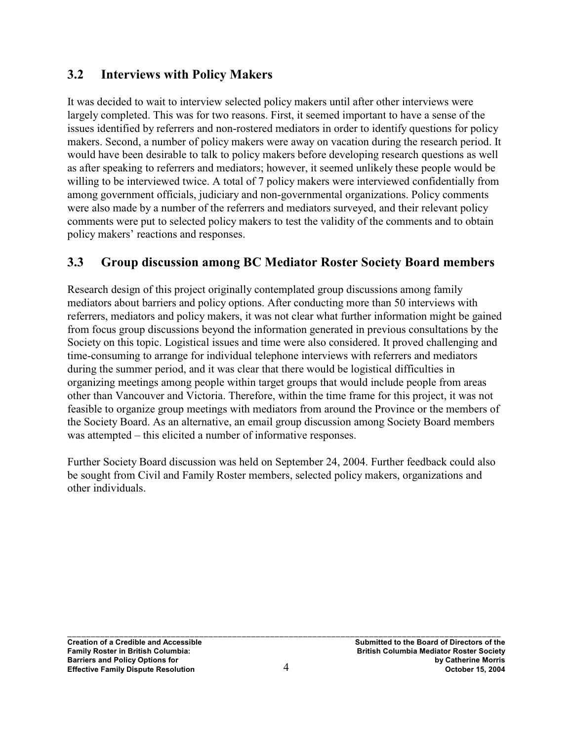### **3.2 Interviews with Policy Makers**

It was decided to wait to interview selected policy makers until after other interviews were largely completed. This was for two reasons. First, it seemed important to have a sense of the issues identified by referrers and non-rostered mediators in order to identify questions for policy makers. Second, a number of policy makers were away on vacation during the research period. It would have been desirable to talk to policy makers before developing research questions as well as after speaking to referrers and mediators; however, it seemed unlikely these people would be willing to be interviewed twice. A total of 7 policy makers were interviewed confidentially from among government officials, judiciary and non-governmental organizations. Policy comments were also made by a number of the referrers and mediators surveyed, and their relevant policy comments were put to selected policy makers to test the validity of the comments and to obtain policy makers' reactions and responses.

# **3.3 Group discussion among BC Mediator Roster Society Board members**

Research design of this project originally contemplated group discussions among family mediators about barriers and policy options. After conducting more than 50 interviews with referrers, mediators and policy makers, it was not clear what further information might be gained from focus group discussions beyond the information generated in previous consultations by the Society on this topic. Logistical issues and time were also considered. It proved challenging and time-consuming to arrange for individual telephone interviews with referrers and mediators during the summer period, and it was clear that there would be logistical difficulties in organizing meetings among people within target groups that would include people from areas other than Vancouver and Victoria. Therefore, within the time frame for this project, it was not feasible to organize group meetings with mediators from around the Province or the members of the Society Board. As an alternative, an email group discussion among Society Board members was attempted – this elicited a number of informative responses.

Further Society Board discussion was held on September 24, 2004. Further feedback could also be sought from Civil and Family Roster members, selected policy makers, organizations and other individuals.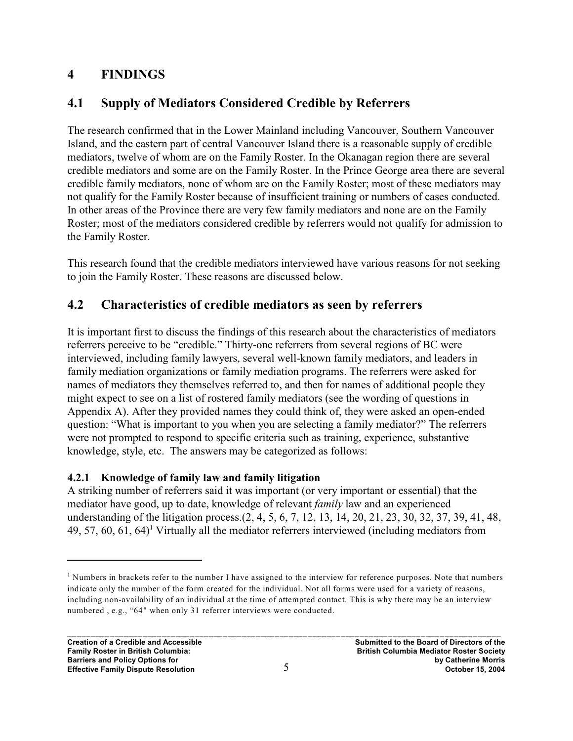# **4 FINDINGS**

# **4.1 Supply of Mediators Considered Credible by Referrers**

The research confirmed that in the Lower Mainland including Vancouver, Southern Vancouver Island, and the eastern part of central Vancouver Island there is a reasonable supply of credible mediators, twelve of whom are on the Family Roster. In the Okanagan region there are several credible mediators and some are on the Family Roster. In the Prince George area there are several credible family mediators, none of whom are on the Family Roster; most of these mediators may not qualify for the Family Roster because of insufficient training or numbers of cases conducted. In other areas of the Province there are very few family mediators and none are on the Family Roster; most of the mediators considered credible by referrers would not qualify for admission to the Family Roster.

This research found that the credible mediators interviewed have various reasons for not seeking to join the Family Roster. These reasons are discussed below.

# **4.2 Characteristics of credible mediators as seen by referrers**

It is important first to discuss the findings of this research about the characteristics of mediators referrers perceive to be "credible." Thirty-one referrers from several regions of BC were interviewed, including family lawyers, several well-known family mediators, and leaders in family mediation organizations or family mediation programs. The referrers were asked for names of mediators they themselves referred to, and then for names of additional people they might expect to see on a list of rostered family mediators (see the wording of questions in Appendix A). After they provided names they could think of, they were asked an open-ended question: "What is important to you when you are selecting a family mediator?" The referrers were not prompted to respond to specific criteria such as training, experience, substantive knowledge, style, etc. The answers may be categorized as follows:

### **4.2.1 Knowledge of family law and family litigation**

A striking number of referrers said it was important (or very important or essential) that the mediator have good, up to date, knowledge of relevant *family* law and an experienced understanding of the litigation process.(2, 4, 5, 6, 7, 12, 13, 14, 20, 21, 23, 30, 32, 37, 39, 41, 48, 49, 57, 60, 61, 64 $\mathcal{V}$  Virtually all the mediator referrers interviewed (including mediators from

<sup>&</sup>lt;sup>1</sup> Numbers in brackets refer to the number I have assigned to the interview for reference purposes. Note that numbers indicate only the number of the form created for the individual. Not all forms were used for a variety of reasons, including non-availability of an individual at the time of attempted contact. This is why there may be an interview numbered , e.g., "64" when only 31 referrer interviews were conducted.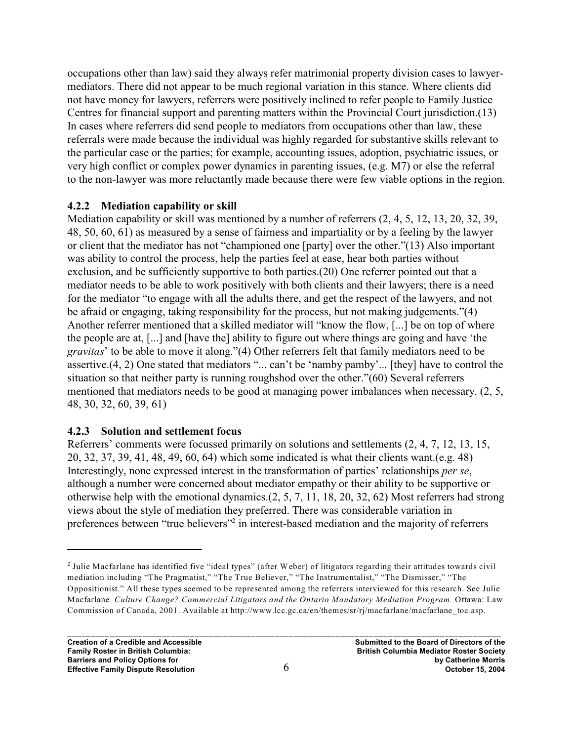occupations other than law) said they always refer matrimonial property division cases to lawyermediators. There did not appear to be much regional variation in this stance. Where clients did not have money for lawyers, referrers were positively inclined to refer people to Family Justice Centres for financial support and parenting matters within the Provincial Court jurisdiction.(13) In cases where referrers did send people to mediators from occupations other than law, these referrals were made because the individual was highly regarded for substantive skills relevant to the particular case or the parties; for example, accounting issues, adoption, psychiatric issues, or very high conflict or complex power dynamics in parenting issues, (e.g. M7) or else the referral to the non-lawyer was more reluctantly made because there were few viable options in the region.

#### **4.2.2 Mediation capability or skill**

Mediation capability or skill was mentioned by a number of referrers (2, 4, 5, 12, 13, 20, 32, 39, 48, 50, 60, 61) as measured by a sense of fairness and impartiality or by a feeling by the lawyer or client that the mediator has not "championed one [party] over the other."(13) Also important was ability to control the process, help the parties feel at ease, hear both parties without exclusion, and be sufficiently supportive to both parties.(20) One referrer pointed out that a mediator needs to be able to work positively with both clients and their lawyers; there is a need for the mediator "to engage with all the adults there, and get the respect of the lawyers, and not be afraid or engaging, taking responsibility for the process, but not making judgements."(4) Another referrer mentioned that a skilled mediator will "know the flow, [...] be on top of where the people are at, [...] and [have the] ability to figure out where things are going and have 'the *gravitas*' to be able to move it along."(4) Other referrers felt that family mediators need to be assertive.(4, 2) One stated that mediators "... can't be 'namby pamby'... [they] have to control the situation so that neither party is running roughshod over the other."(60) Several referrers mentioned that mediators needs to be good at managing power imbalances when necessary. (2, 5, 48, 30, 32, 60, 39, 61)

#### **4.2.3 Solution and settlement focus**

Referrers' comments were focussed primarily on solutions and settlements (2, 4, 7, 12, 13, 15, 20, 32, 37, 39, 41, 48, 49, 60, 64) which some indicated is what their clients want.(e.g. 48) Interestingly, none expressed interest in the transformation of parties' relationships *per se*, although a number were concerned about mediator empathy or their ability to be supportive or otherwise help with the emotional dynamics.(2, 5, 7, 11, 18, 20, 32, 62) Most referrers had strong views about the style of mediation they preferred. There was considerable variation in preferences between "true believers"<sup>2</sup> in interest-based mediation and the majority of referrers

 $<sup>2</sup>$  Julie Macfarlane has identified five "ideal types" (after Weber) of litigators regarding their attitudes towards civil</sup> mediation including "The Pragmatist," "The True Believer," "The Instrumentalist," "The Dismisser," "The Oppositionist." All these types seemed to be represented among the referrers interviewed for this research. See Julie Macfarlane. *Culture Change? Commercial Litigators and the Ontario Mandatory Mediation Program.* Ottawa: Law Commission of Canada, 2001. Available at http://www.lcc.gc.ca/en/themes/sr/rj/macfarlane/macfarlane\_toc.asp.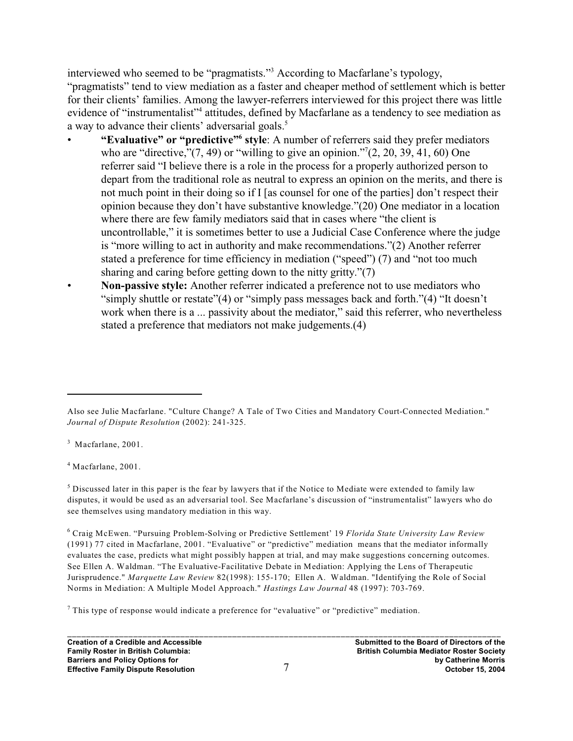interviewed who seemed to be "pragmatists."<sup>3</sup> According to Macfarlane's typology, "pragmatists" tend to view mediation as a faster and cheaper method of settlement which is better for their clients' families. Among the lawyer-referrers interviewed for this project there was little evidence of "instrumentalist"<sup>4</sup> attitudes, defined by Macfarlane as a tendency to see mediation as a way to advance their clients' adversarial goals.<sup>5</sup>

- **"Evaluative" or "predictive" style**: A number of referrers said they prefer mediators **<sup>6</sup>** who are "directive," $(7, 49)$  or "willing to give an opinion." $(2, 20, 39, 41, 60)$  One referrer said "I believe there is a role in the process for a properly authorized person to depart from the traditional role as neutral to express an opinion on the merits, and there is not much point in their doing so if I [as counsel for one of the parties] don't respect their opinion because they don't have substantive knowledge."(20) One mediator in a location where there are few family mediators said that in cases where "the client is uncontrollable," it is sometimes better to use a Judicial Case Conference where the judge is "more willing to act in authority and make recommendations."(2) Another referrer stated a preference for time efficiency in mediation ("speed") (7) and "not too much sharing and caring before getting down to the nitty gritty."(7)
- **Non-passive style:** Another referrer indicated a preference not to use mediators who "simply shuttle or restate"(4) or "simply pass messages back and forth."(4) "It doesn't work when there is a ... passivity about the mediator," said this referrer, who nevertheless stated a preference that mediators not make judgements.(4)

 $3$  Macfarlane, 2001.

 $4$  Macfarlane, 2001.

 $<sup>5</sup>$  Discussed later in this paper is the fear by lawyers that if the Notice to Mediate were extended to family law</sup> disputes, it would be used as an adversarial tool. See Macfarlane's discussion of "instrumentalist" lawyers who do see themselves using mandatory mediation in this way.

 Craig McEwen. "Pursuing Problem-Solving or Predictive Settlement' 19 *Florida State University Law Review* <sup>6</sup> (1991) 77 cited in Macfarlane, 2001. "Evaluative" or "predictive" mediation means that the mediator informally evaluates the case, predicts what might possibly happen at trial, and may make suggestions concerning outcomes. See Ellen A. Waldman. "The Evaluative-Facilitative Debate in Mediation: Applying the Lens of Therapeutic Jurisprudence." *Marquette Law Review* 82(1998): 155-170; Ellen A. Waldman. "Identifying the Role of Social Norms in Mediation: A Multiple Model Approach." *Hastings Law Journal* 48 (1997): 703-769.

 $^7$  This type of response would indicate a preference for "evaluative" or "predictive" mediation.

Also see Julie Macfarlane. "Culture Change? A Tale of Two Cities and Mandatory Court-Connected Mediation." *Journal of Dispute Resolution* (2002): 241-325.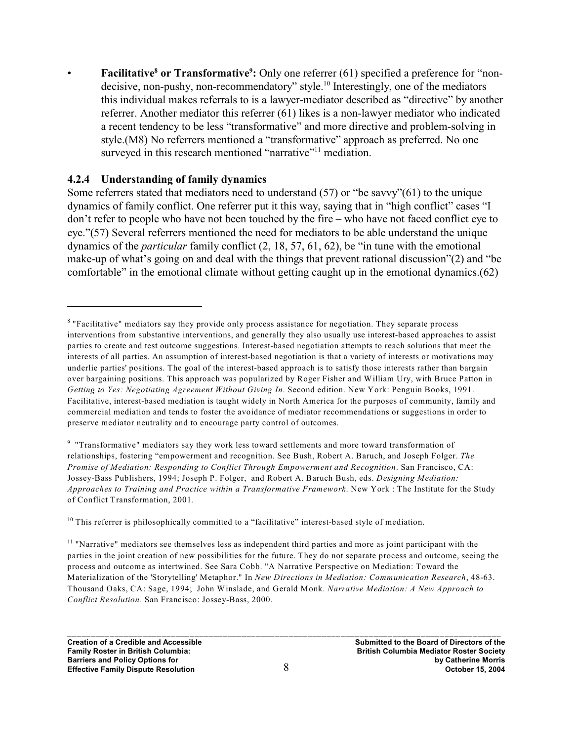**Facilitative<sup>8</sup> or Transformative<sup>9</sup>:** Only one referrer (61) specified a preference for "nondecisive, non-pushy, non-recommendatory" style.<sup>10</sup> Interestingly, one of the mediators this individual makes referrals to is a lawyer-mediator described as "directive" by another referrer. Another mediator this referrer (61) likes is a non-lawyer mediator who indicated a recent tendency to be less "transformative" and more directive and problem-solving in style.(M8) No referrers mentioned a "transformative" approach as preferred. No one surveyed in this research mentioned "narrative"<sup>11</sup> mediation.

#### **4.2.4 Understanding of family dynamics**

Some referrers stated that mediators need to understand (57) or "be savvy"(61) to the unique dynamics of family conflict. One referrer put it this way, saying that in "high conflict" cases "I don't refer to people who have not been touched by the fire – who have not faced conflict eye to eye."(57) Several referrers mentioned the need for mediators to be able understand the unique dynamics of the *particular* family conflict (2, 18, 57, 61, 62), be "in tune with the emotional make-up of what's going on and deal with the things that prevent rational discussion"(2) and "be comfortable" in the emotional climate without getting caught up in the emotional dynamics.(62)

 $10$  This referrer is philosophically committed to a "facilitative" interest-based style of mediation.

<sup>&</sup>lt;sup>8</sup> "Facilitative" mediators say they provide only process assistance for negotiation. They separate process interventions from substantive interventions, and generally they also usually use interest-based approaches to assist parties to create and test outcome suggestions. Interest-based negotiation attempts to reach solutions that meet the interests of all parties. An assumption of interest-based negotiation is that a variety of interests or motivations may underlie parties' positions. The goal of the interest-based approach is to satisfy those interests rather than bargain over bargaining positions. This approach was popularized by Roger Fisher and William Ury, with Bruce Patton in *Getting to Yes: Negotiating Agreement Without Giving In*. Second edition. New York: Penguin Books, 1991. Facilitative, interest-based mediation is taught widely in North America for the purposes of community, family and commercial mediation and tends to foster the avoidance of mediator recommendations or suggestions in order to preserve mediator neutrality and to encourage party control of outcomes.

<sup>&</sup>lt;sup>9</sup> "Transformative" mediators say they work less toward settlements and more toward transformation of relationships, fostering "empowerment and recognition. See Bush, Robert A. Baruch, and Joseph Folger. *The Promise of Mediation: Responding to Conflict Through Empowerment and Recognition*. San Francisco, CA: Jossey-Bass Publishers, 1994; Joseph P. Folger, and Robert A. Baruch Bush, eds. *Designing Mediation: Approaches to Training and Practice within a Transformative Framework*. New York : The Institute for the Study of Conflict Transformation, 2001.

 $<sup>11</sup>$  "Narrative" mediators see themselves less as independent third parties and more as joint participant with the</sup> parties in the joint creation of new possibilities for the future. They do not separate process and outcome, seeing the process and outcome as intertwined. See Sara Cobb. "A Narrative Perspective on Mediation: Toward the Materialization of the 'Storytelling' Metaphor." In *New Directions in Mediation: Communication Research*, 48-63. Thousand Oaks, CA: Sage, 1994; John Winslade, and Gerald Monk. *Narrative Mediation: A New Approach to Conflict Resolution*. San Francisco: Jossey-Bass, 2000.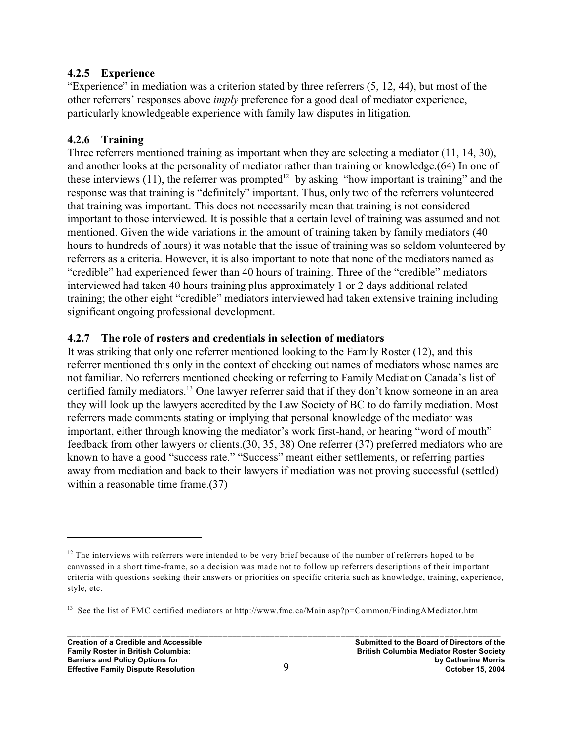#### **4.2.5 Experience**

"Experience" in mediation was a criterion stated by three referrers (5, 12, 44), but most of the other referrers' responses above *imply* preference for a good deal of mediator experience, particularly knowledgeable experience with family law disputes in litigation.

#### **4.2.6 Training**

Three referrers mentioned training as important when they are selecting a mediator (11, 14, 30), and another looks at the personality of mediator rather than training or knowledge.(64) In one of these interviews (11), the referrer was prompted<sup>12</sup> by asking "how important is training" and the response was that training is "definitely" important. Thus, only two of the referrers volunteered that training was important. This does not necessarily mean that training is not considered important to those interviewed. It is possible that a certain level of training was assumed and not mentioned. Given the wide variations in the amount of training taken by family mediators (40 hours to hundreds of hours) it was notable that the issue of training was so seldom volunteered by referrers as a criteria. However, it is also important to note that none of the mediators named as "credible" had experienced fewer than 40 hours of training. Three of the "credible" mediators interviewed had taken 40 hours training plus approximately 1 or 2 days additional related training; the other eight "credible" mediators interviewed had taken extensive training including significant ongoing professional development.

#### **4.2.7 The role of rosters and credentials in selection of mediators**

It was striking that only one referrer mentioned looking to the Family Roster (12), and this referrer mentioned this only in the context of checking out names of mediators whose names are not familiar. No referrers mentioned checking or referring to Family Mediation Canada's list of certified family mediators.<sup>13</sup> One lawyer referrer said that if they don't know someone in an area they will look up the lawyers accredited by the Law Society of BC to do family mediation. Most referrers made comments stating or implying that personal knowledge of the mediator was important, either through knowing the mediator's work first-hand, or hearing "word of mouth" feedback from other lawyers or clients.(30, 35, 38) One referrer (37) preferred mediators who are known to have a good "success rate." "Success" meant either settlements, or referring parties away from mediation and back to their lawyers if mediation was not proving successful (settled) within a reasonable time frame.  $(37)$ 

 $12$  The interviews with referrers were intended to be very brief because of the number of referrers hoped to be canvassed in a short time-frame, so a decision was made not to follow up referrers descriptions of their important criteria with questions seeking their answers or priorities on specific criteria such as knowledge, training, experience, style, etc.

<sup>&</sup>lt;sup>13</sup> See the list of FMC certified mediators at http://www.fmc.ca/Main.asp?p=Common/FindingAMediator.htm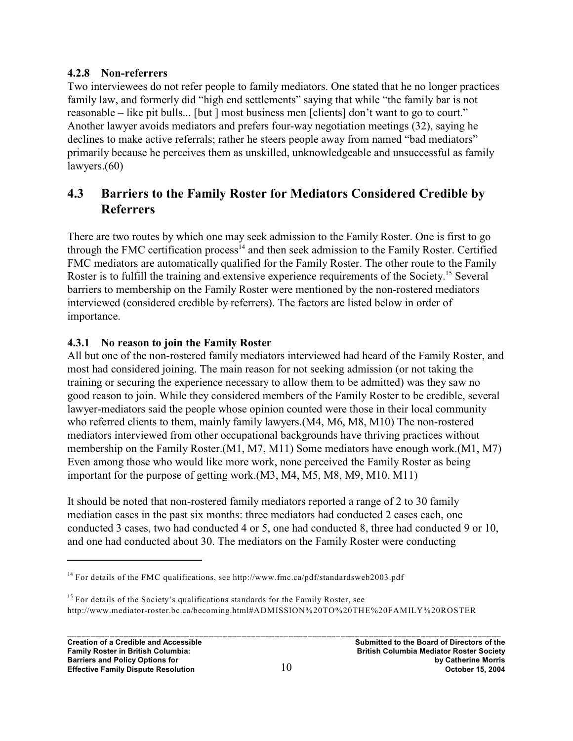#### **4.2.8 Non-referrers**

Two interviewees do not refer people to family mediators. One stated that he no longer practices family law, and formerly did "high end settlements" saying that while "the family bar is not reasonable – like pit bulls... [but ] most business men [clients] don't want to go to court." Another lawyer avoids mediators and prefers four-way negotiation meetings (32), saying he declines to make active referrals; rather he steers people away from named "bad mediators" primarily because he perceives them as unskilled, unknowledgeable and unsuccessful as family lawyers.(60)

# **4.3 Barriers to the Family Roster for Mediators Considered Credible by Referrers**

There are two routes by which one may seek admission to the Family Roster. One is first to go through the FMC certification process<sup> $14$ </sup> and then seek admission to the Family Roster. Certified FMC mediators are automatically qualified for the Family Roster. The other route to the Family Roster is to fulfill the training and extensive experience requirements of the Society.<sup>15</sup> Several barriers to membership on the Family Roster were mentioned by the non-rostered mediators interviewed (considered credible by referrers). The factors are listed below in order of importance.

### **4.3.1 No reason to join the Family Roster**

All but one of the non-rostered family mediators interviewed had heard of the Family Roster, and most had considered joining. The main reason for not seeking admission (or not taking the training or securing the experience necessary to allow them to be admitted) was they saw no good reason to join. While they considered members of the Family Roster to be credible, several lawyer-mediators said the people whose opinion counted were those in their local community who referred clients to them, mainly family lawyers.(M4, M6, M8, M10) The non-rostered mediators interviewed from other occupational backgrounds have thriving practices without membership on the Family Roster.(M1, M7, M11) Some mediators have enough work.(M1, M7) Even among those who would like more work, none perceived the Family Roster as being important for the purpose of getting work.(M3, M4, M5, M8, M9, M10, M11)

It should be noted that non-rostered family mediators reported a range of 2 to 30 family mediation cases in the past six months: three mediators had conducted 2 cases each, one conducted 3 cases, two had conducted 4 or 5, one had conducted 8, three had conducted 9 or 10, and one had conducted about 30. The mediators on the Family Roster were conducting

<sup>&</sup>lt;sup>14</sup> For details of the FMC qualifications, see http://www.fmc.ca/pdf/standardsweb2003.pdf

 $<sup>15</sup>$  For details of the Society's qualifications standards for the Family Roster, see</sup> http://www.mediator-roster.bc.ca/becoming.html#ADMISSION%20TO%20THE%20FAMILY%20ROSTER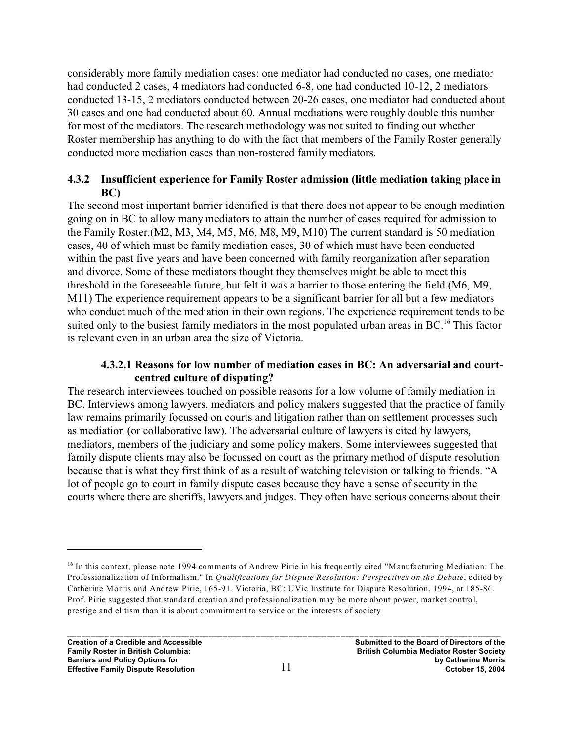considerably more family mediation cases: one mediator had conducted no cases, one mediator had conducted 2 cases, 4 mediators had conducted 6-8, one had conducted 10-12, 2 mediators conducted 13-15, 2 mediators conducted between 20-26 cases, one mediator had conducted about 30 cases and one had conducted about 60. Annual mediations were roughly double this number for most of the mediators. The research methodology was not suited to finding out whether Roster membership has anything to do with the fact that members of the Family Roster generally conducted more mediation cases than non-rostered family mediators.

#### **4.3.2 Insufficient experience for Family Roster admission (little mediation taking place in BC)**

The second most important barrier identified is that there does not appear to be enough mediation going on in BC to allow many mediators to attain the number of cases required for admission to the Family Roster.(M2, M3, M4, M5, M6, M8, M9, M10) The current standard is 50 mediation cases, 40 of which must be family mediation cases, 30 of which must have been conducted within the past five years and have been concerned with family reorganization after separation and divorce. Some of these mediators thought they themselves might be able to meet this threshold in the foreseeable future, but felt it was a barrier to those entering the field.(M6, M9, M11) The experience requirement appears to be a significant barrier for all but a few mediators who conduct much of the mediation in their own regions. The experience requirement tends to be suited only to the busiest family mediators in the most populated urban areas in BC.<sup>16</sup> This factor is relevant even in an urban area the size of Victoria.

#### **4.3.2.1 Reasons for low number of mediation cases in BC: An adversarial and courtcentred culture of disputing?**

The research interviewees touched on possible reasons for a low volume of family mediation in BC. Interviews among lawyers, mediators and policy makers suggested that the practice of family law remains primarily focussed on courts and litigation rather than on settlement processes such as mediation (or collaborative law). The adversarial culture of lawyers is cited by lawyers, mediators, members of the judiciary and some policy makers. Some interviewees suggested that family dispute clients may also be focussed on court as the primary method of dispute resolution because that is what they first think of as a result of watching television or talking to friends. "A lot of people go to court in family dispute cases because they have a sense of security in the courts where there are sheriffs, lawyers and judges. They often have serious concerns about their

 $16$  In this context, please note 1994 comments of Andrew Pirie in his frequently cited "Manufacturing Mediation: The Professionalization of Informalism." In *Qualifications for Dispute Resolution: Perspectives on the Debate*, edited by Catherine Morris and Andrew Pirie, 165-91. Victoria, BC: UVic Institute for Dispute Resolution, 1994, at 185-86. Prof. Pirie suggested that standard creation and professionalization may be more about power, market control, prestige and elitism than it is about commitment to service or the interests of society.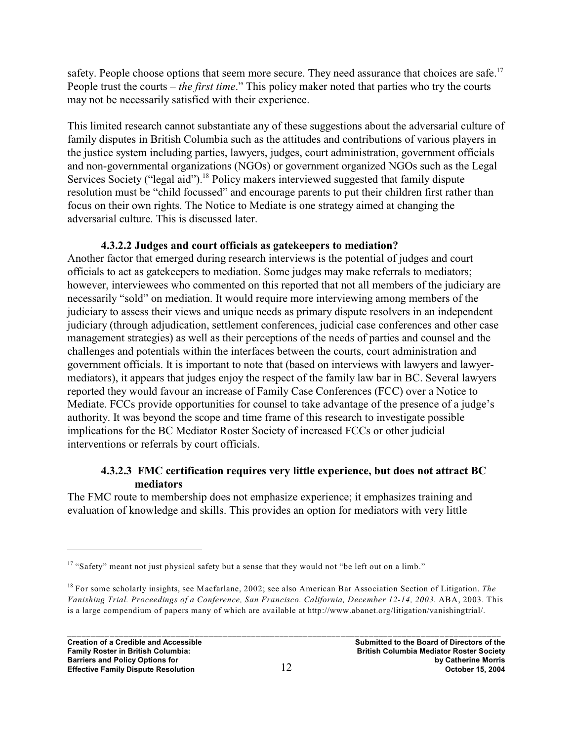safety. People choose options that seem more secure. They need assurance that choices are safe.<sup>17</sup> People trust the courts – *the first time*." This policy maker noted that parties who try the courts may not be necessarily satisfied with their experience.

This limited research cannot substantiate any of these suggestions about the adversarial culture of family disputes in British Columbia such as the attitudes and contributions of various players in the justice system including parties, lawyers, judges, court administration, government officials and non-governmental organizations (NGOs) or government organized NGOs such as the Legal Services Society ("legal aid").<sup>18</sup> Policy makers interviewed suggested that family dispute resolution must be "child focussed" and encourage parents to put their children first rather than focus on their own rights. The Notice to Mediate is one strategy aimed at changing the adversarial culture. This is discussed later.

#### **4.3.2.2 Judges and court officials as gatekeepers to mediation?**

Another factor that emerged during research interviews is the potential of judges and court officials to act as gatekeepers to mediation. Some judges may make referrals to mediators; however, interviewees who commented on this reported that not all members of the judiciary are necessarily "sold" on mediation. It would require more interviewing among members of the judiciary to assess their views and unique needs as primary dispute resolvers in an independent judiciary (through adjudication, settlement conferences, judicial case conferences and other case management strategies) as well as their perceptions of the needs of parties and counsel and the challenges and potentials within the interfaces between the courts, court administration and government officials. It is important to note that (based on interviews with lawyers and lawyermediators), it appears that judges enjoy the respect of the family law bar in BC. Several lawyers reported they would favour an increase of Family Case Conferences (FCC) over a Notice to Mediate. FCCs provide opportunities for counsel to take advantage of the presence of a judge's authority. It was beyond the scope and time frame of this research to investigate possible implications for the BC Mediator Roster Society of increased FCCs or other judicial interventions or referrals by court officials.

#### **4.3.2.3 FMC certification requires very little experience, but does not attract BC mediators**

The FMC route to membership does not emphasize experience; it emphasizes training and evaluation of knowledge and skills. This provides an option for mediators with very little

 $17$  "Safety" meant not just physical safety but a sense that they would not "be left out on a limb."

<sup>&</sup>lt;sup>18</sup> For some scholarly insights, see Macfarlane, 2002; see also American Bar Association Section of Litigation. *The Vanishing Trial. Proceedings of a Conference, San Francisco. California, December 12-14, 2003.* ABA, 2003. This is a large compendium of papers many of which are available at http://www.abanet.org/litigation/vanishingtrial/.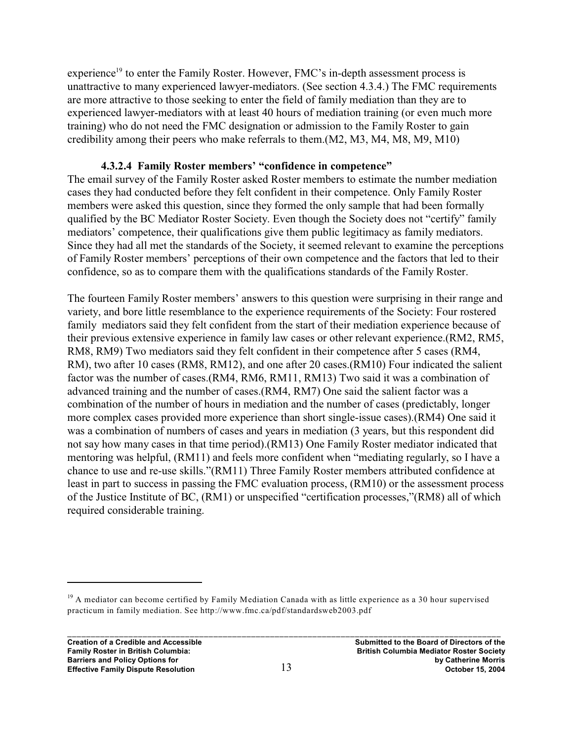experience<sup>19</sup> to enter the Family Roster. However, FMC's in-depth assessment process is unattractive to many experienced lawyer-mediators. (See section 4.3.4.) The FMC requirements are more attractive to those seeking to enter the field of family mediation than they are to experienced lawyer-mediators with at least 40 hours of mediation training (or even much more training) who do not need the FMC designation or admission to the Family Roster to gain credibility among their peers who make referrals to them.(M2, M3, M4, M8, M9, M10)

#### **4.3.2.4 Family Roster members' "confidence in competence"**

The email survey of the Family Roster asked Roster members to estimate the number mediation cases they had conducted before they felt confident in their competence. Only Family Roster members were asked this question, since they formed the only sample that had been formally qualified by the BC Mediator Roster Society. Even though the Society does not "certify" family mediators' competence, their qualifications give them public legitimacy as family mediators. Since they had all met the standards of the Society, it seemed relevant to examine the perceptions of Family Roster members' perceptions of their own competence and the factors that led to their confidence, so as to compare them with the qualifications standards of the Family Roster.

The fourteen Family Roster members' answers to this question were surprising in their range and variety, and bore little resemblance to the experience requirements of the Society: Four rostered family mediators said they felt confident from the start of their mediation experience because of their previous extensive experience in family law cases or other relevant experience.(RM2, RM5, RM8, RM9) Two mediators said they felt confident in their competence after 5 cases (RM4, RM), two after 10 cases (RM8, RM12), and one after 20 cases.(RM10) Four indicated the salient factor was the number of cases.(RM4, RM6, RM11, RM13) Two said it was a combination of advanced training and the number of cases.(RM4, RM7) One said the salient factor was a combination of the number of hours in mediation and the number of cases (predictably, longer more complex cases provided more experience than short single-issue cases).(RM4) One said it was a combination of numbers of cases and years in mediation (3 years, but this respondent did not say how many cases in that time period).(RM13) One Family Roster mediator indicated that mentoring was helpful, (RM11) and feels more confident when "mediating regularly, so I have a chance to use and re-use skills."(RM11) Three Family Roster members attributed confidence at least in part to success in passing the FMC evaluation process, (RM10) or the assessment process of the Justice Institute of BC, (RM1) or unspecified "certification processes,"(RM8) all of which required considerable training.

 $19$  A mediator can become certified by Family Mediation Canada with as little experience as a 30 hour supervised practicum in family mediation. See http://www.fmc.ca/pdf/standardsweb2003.pdf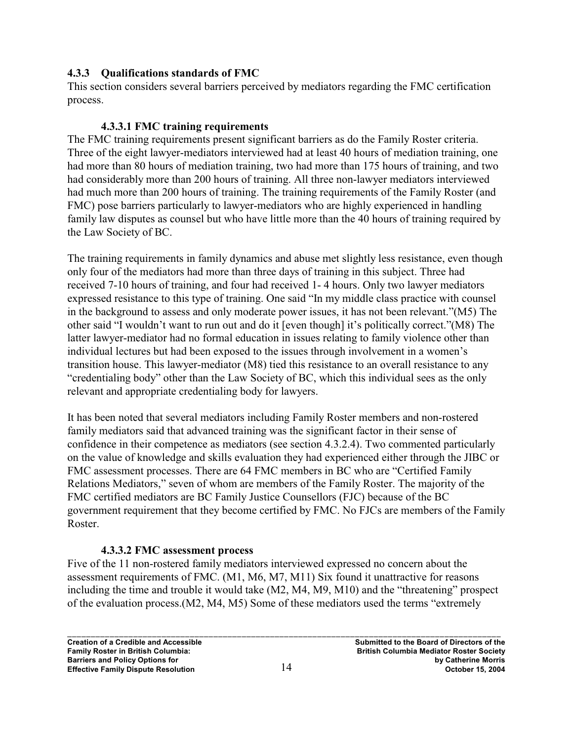#### **4.3.3 Qualifications standards of FMC**

This section considers several barriers perceived by mediators regarding the FMC certification process.

#### **4.3.3.1 FMC training requirements**

The FMC training requirements present significant barriers as do the Family Roster criteria. Three of the eight lawyer-mediators interviewed had at least 40 hours of mediation training, one had more than 80 hours of mediation training, two had more than 175 hours of training, and two had considerably more than 200 hours of training. All three non-lawyer mediators interviewed had much more than 200 hours of training. The training requirements of the Family Roster (and FMC) pose barriers particularly to lawyer-mediators who are highly experienced in handling family law disputes as counsel but who have little more than the 40 hours of training required by the Law Society of BC.

The training requirements in family dynamics and abuse met slightly less resistance, even though only four of the mediators had more than three days of training in this subject. Three had received 7-10 hours of training, and four had received 1- 4 hours. Only two lawyer mediators expressed resistance to this type of training. One said "In my middle class practice with counsel in the background to assess and only moderate power issues, it has not been relevant."(M5) The other said "I wouldn't want to run out and do it [even though] it's politically correct."(M8) The latter lawyer-mediator had no formal education in issues relating to family violence other than individual lectures but had been exposed to the issues through involvement in a women's transition house. This lawyer-mediator (M8) tied this resistance to an overall resistance to any "credentialing body" other than the Law Society of BC, which this individual sees as the only relevant and appropriate credentialing body for lawyers.

It has been noted that several mediators including Family Roster members and non-rostered family mediators said that advanced training was the significant factor in their sense of confidence in their competence as mediators (see section 4.3.2.4). Two commented particularly on the value of knowledge and skills evaluation they had experienced either through the JIBC or FMC assessment processes. There are 64 FMC members in BC who are "Certified Family Relations Mediators," seven of whom are members of the Family Roster. The majority of the FMC certified mediators are BC Family Justice Counsellors (FJC) because of the BC government requirement that they become certified by FMC. No FJCs are members of the Family Roster.

#### **4.3.3.2 FMC assessment process**

Five of the 11 non-rostered family mediators interviewed expressed no concern about the assessment requirements of FMC. (M1, M6, M7, M11) Six found it unattractive for reasons including the time and trouble it would take (M2, M4, M9, M10) and the "threatening" prospect of the evaluation process.(M2, M4, M5) Some of these mediators used the terms "extremely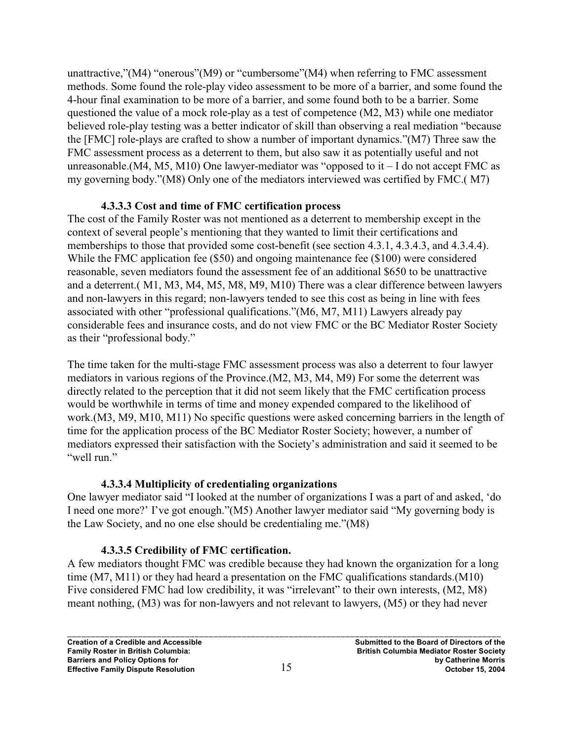unattractive,"(M4) "onerous"(M9) or "cumbersome"(M4) when referring to FMC assessment methods. Some found the role-play video assessment to be more of a barrier, and some found the 4-hour final examination to be more of a barrier, and some found both to be a barrier. Some questioned the value of a mock role-play as a test of competence (M2, M3) while one mediator believed role-play testing was a better indicator of skill than observing a real mediation "because the [FMC] role-plays are crafted to show a number of important dynamics."(M7) Three saw the FMC assessment process as a deterrent to them, but also saw it as potentially useful and not unreasonable.(M4, M5, M10) One lawyer-mediator was "opposed to it  $-1$  do not accept FMC as my governing body."(M8) Only one of the mediators interviewed was certified by FMC.( M7)

#### **4.3.3.3 Cost and time of FMC certification process**

The cost of the Family Roster was not mentioned as a deterrent to membership except in the context of several people's mentioning that they wanted to limit their certifications and memberships to those that provided some cost-benefit (see section 4.3.1, 4.3.4.3, and 4.3.4.4). While the FMC application fee (\$50) and ongoing maintenance fee (\$100) were considered reasonable, seven mediators found the assessment fee of an additional \$650 to be unattractive and a deterrent.( M1, M3, M4, M5, M8, M9, M10) There was a clear difference between lawyers and non-lawyers in this regard; non-lawyers tended to see this cost as being in line with fees associated with other "professional qualifications."(M6, M7, M11) Lawyers already pay considerable fees and insurance costs, and do not view FMC or the BC Mediator Roster Society as their "professional body."

The time taken for the multi-stage FMC assessment process was also a deterrent to four lawyer mediators in various regions of the Province.(M2, M3, M4, M9) For some the deterrent was directly related to the perception that it did not seem likely that the FMC certification process would be worthwhile in terms of time and money expended compared to the likelihood of work.(M3, M9, M10, M11) No specific questions were asked concerning barriers in the length of time for the application process of the BC Mediator Roster Society; however, a number of mediators expressed their satisfaction with the Society's administration and said it seemed to be "well run."

#### **4.3.3.4 Multiplicity of credentialing organizations**

One lawyer mediator said "I looked at the number of organizations I was a part of and asked, 'do I need one more?' I've got enough."(M5) Another lawyer mediator said "My governing body is the Law Society, and no one else should be credentialing me."(M8)

### **4.3.3.5 Credibility of FMC certification.**

A few mediators thought FMC was credible because they had known the organization for a long time (M7, M11) or they had heard a presentation on the FMC qualifications standards.(M10) Five considered FMC had low credibility, it was "irrelevant" to their own interests,  $(M2, M8)$ meant nothing, (M3) was for non-lawyers and not relevant to lawyers, (M5) or they had never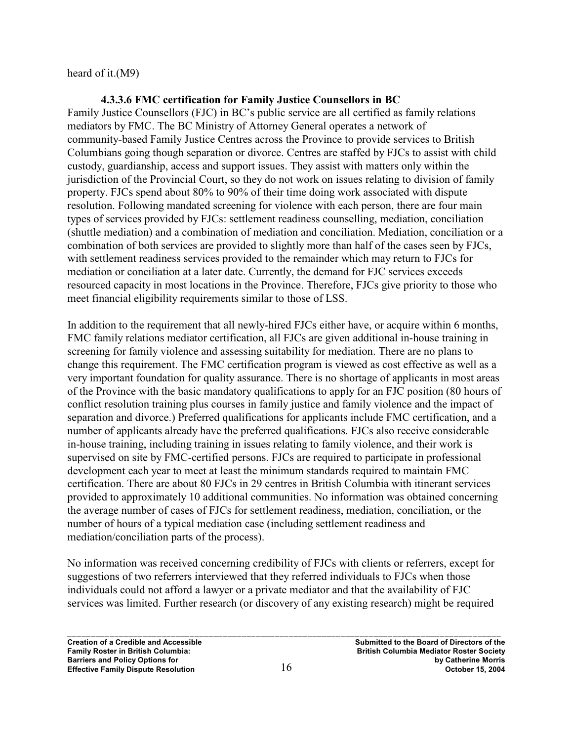heard of it.(M9)

#### **4.3.3.6 FMC certification for Family Justice Counsellors in BC**

Family Justice Counsellors (FJC) in BC's public service are all certified as family relations mediators by FMC. The BC Ministry of Attorney General operates a network of community-based Family Justice Centres across the Province to provide services to British Columbians going though separation or divorce. Centres are staffed by FJCs to assist with child custody, guardianship, access and support issues. They assist with matters only within the jurisdiction of the Provincial Court, so they do not work on issues relating to division of family property. FJCs spend about 80% to 90% of their time doing work associated with dispute resolution. Following mandated screening for violence with each person, there are four main types of services provided by FJCs: settlement readiness counselling, mediation, conciliation (shuttle mediation) and a combination of mediation and conciliation. Mediation, conciliation or a combination of both services are provided to slightly more than half of the cases seen by FJCs, with settlement readiness services provided to the remainder which may return to FJCs for mediation or conciliation at a later date. Currently, the demand for FJC services exceeds resourced capacity in most locations in the Province. Therefore, FJCs give priority to those who meet financial eligibility requirements similar to those of LSS.

In addition to the requirement that all newly-hired FJCs either have, or acquire within 6 months, FMC family relations mediator certification, all FJCs are given additional in-house training in screening for family violence and assessing suitability for mediation. There are no plans to change this requirement. The FMC certification program is viewed as cost effective as well as a very important foundation for quality assurance. There is no shortage of applicants in most areas of the Province with the basic mandatory qualifications to apply for an FJC position (80 hours of conflict resolution training plus courses in family justice and family violence and the impact of separation and divorce.) Preferred qualifications for applicants include FMC certification, and a number of applicants already have the preferred qualifications. FJCs also receive considerable in-house training, including training in issues relating to family violence, and their work is supervised on site by FMC-certified persons. FJCs are required to participate in professional development each year to meet at least the minimum standards required to maintain FMC certification. There are about 80 FJCs in 29 centres in British Columbia with itinerant services provided to approximately 10 additional communities. No information was obtained concerning the average number of cases of FJCs for settlement readiness, mediation, conciliation, or the number of hours of a typical mediation case (including settlement readiness and mediation/conciliation parts of the process).

No information was received concerning credibility of FJCs with clients or referrers, except for suggestions of two referrers interviewed that they referred individuals to FJCs when those individuals could not afford a lawyer or a private mediator and that the availability of FJC services was limited. Further research (or discovery of any existing research) might be required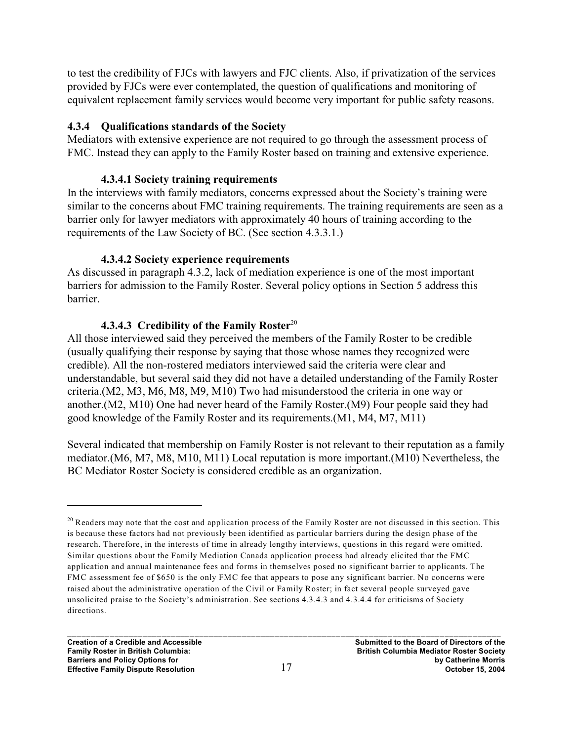to test the credibility of FJCs with lawyers and FJC clients. Also, if privatization of the services provided by FJCs were ever contemplated, the question of qualifications and monitoring of equivalent replacement family services would become very important for public safety reasons.

#### **4.3.4 Qualifications standards of the Society**

Mediators with extensive experience are not required to go through the assessment process of FMC. Instead they can apply to the Family Roster based on training and extensive experience.

#### **4.3.4.1 Society training requirements**

In the interviews with family mediators, concerns expressed about the Society's training were similar to the concerns about FMC training requirements. The training requirements are seen as a barrier only for lawyer mediators with approximately 40 hours of training according to the requirements of the Law Society of BC. (See section 4.3.3.1.)

#### **4.3.4.2 Society experience requirements**

As discussed in paragraph 4.3.2, lack of mediation experience is one of the most important barriers for admission to the Family Roster. Several policy options in Section 5 address this barrier.

#### **4.3.4.3 Credibility of the Family Roster**<sup>20</sup>

All those interviewed said they perceived the members of the Family Roster to be credible (usually qualifying their response by saying that those whose names they recognized were credible). All the non-rostered mediators interviewed said the criteria were clear and understandable, but several said they did not have a detailed understanding of the Family Roster criteria.(M2, M3, M6, M8, M9, M10) Two had misunderstood the criteria in one way or another.(M2, M10) One had never heard of the Family Roster.(M9) Four people said they had good knowledge of the Family Roster and its requirements.(M1, M4, M7, M11)

Several indicated that membership on Family Roster is not relevant to their reputation as a family mediator.(M6, M7, M8, M10, M11) Local reputation is more important.(M10) Nevertheless, the BC Mediator Roster Society is considered credible as an organization.

 $20$  Readers may note that the cost and application process of the Family Roster are not discussed in this section. This is because these factors had not previously been identified as particular barriers during the design phase of the research. Therefore, in the interests of time in already lengthy interviews, questions in this regard were omitted. Similar questions about the Family Mediation Canada application process had already elicited that the FMC application and annual maintenance fees and forms in themselves posed no significant barrier to applicants. The FMC assessment fee of \$650 is the only FMC fee that appears to pose any significant barrier. No concerns were raised about the administrative operation of the Civil or Family Roster; in fact several people surveyed gave unsolicited praise to the Society's administration. See sections 4.3.4.3 and 4.3.4.4 for criticisms of Society directions.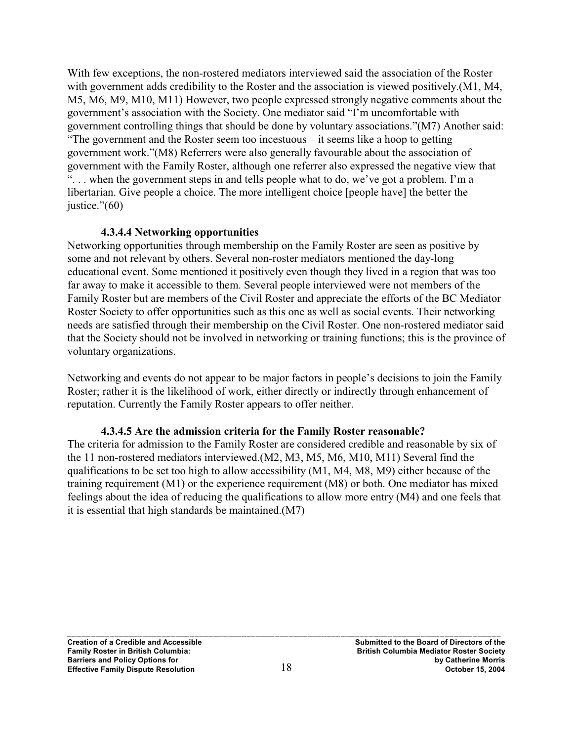With few exceptions, the non-rostered mediators interviewed said the association of the Roster with government adds credibility to the Roster and the association is viewed positively.(M1, M4, M5, M6, M9, M10, M11) However, two people expressed strongly negative comments about the government's association with the Society. One mediator said "I'm uncomfortable with government controlling things that should be done by voluntary associations."(M7) Another said: "The government and the Roster seem too incestuous – it seems like a hoop to getting government work."(M8) Referrers were also generally favourable about the association of government with the Family Roster, although one referrer also expressed the negative view that ". . . when the government steps in and tells people what to do, we've got a problem. I'm a libertarian. Give people a choice. The more intelligent choice [people have] the better the justice."(60)

#### **4.3.4.4 Networking opportunities**

Networking opportunities through membership on the Family Roster are seen as positive by some and not relevant by others. Several non-roster mediators mentioned the day-long educational event. Some mentioned it positively even though they lived in a region that was too far away to make it accessible to them. Several people interviewed were not members of the Family Roster but are members of the Civil Roster and appreciate the efforts of the BC Mediator Roster Society to offer opportunities such as this one as well as social events. Their networking needs are satisfied through their membership on the Civil Roster. One non-rostered mediator said that the Society should not be involved in networking or training functions; this is the province of voluntary organizations.

Networking and events do not appear to be major factors in people's decisions to join the Family Roster; rather it is the likelihood of work, either directly or indirectly through enhancement of reputation. Currently the Family Roster appears to offer neither.

#### **4.3.4.5 Are the admission criteria for the Family Roster reasonable?**

The criteria for admission to the Family Roster are considered credible and reasonable by six of the 11 non-rostered mediators interviewed.(M2, M3, M5, M6, M10, M11) Several find the qualifications to be set too high to allow accessibility (M1, M4, M8, M9) either because of the training requirement (M1) or the experience requirement (M8) or both. One mediator has mixed feelings about the idea of reducing the qualifications to allow more entry (M4) and one feels that it is essential that high standards be maintained.(M7)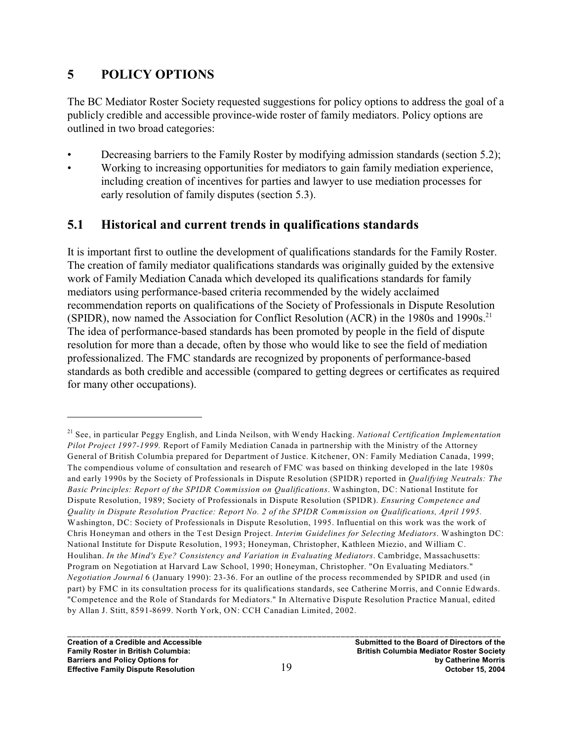### **5 POLICY OPTIONS**

The BC Mediator Roster Society requested suggestions for policy options to address the goal of a publicly credible and accessible province-wide roster of family mediators. Policy options are outlined in two broad categories:

• Decreasing barriers to the Family Roster by modifying admission standards (section 5.2); • Working to increasing opportunities for mediators to gain family mediation experience, including creation of incentives for parties and lawyer to use mediation processes for early resolution of family disputes (section 5.3).

# **5.1 Historical and current trends in qualifications standards**

It is important first to outline the development of qualifications standards for the Family Roster. The creation of family mediator qualifications standards was originally guided by the extensive work of Family Mediation Canada which developed its qualifications standards for family mediators using performance-based criteria recommended by the widely acclaimed recommendation reports on qualifications of the Society of Professionals in Dispute Resolution (SPIDR), now named the Association for Conflict Resolution (ACR) in the 1980s and 1990s.<sup>21</sup> The idea of performance-based standards has been promoted by people in the field of dispute resolution for more than a decade, often by those who would like to see the field of mediation professionalized. The FMC standards are recognized by proponents of performance-based standards as both credible and accessible (compared to getting degrees or certificates as required for many other occupations).

See, in particular Peggy English, and Linda Neilson, with Wendy Hacking. *National Certification Implementation* <sup>21</sup> *Pilot Project 1997-1999.* Report of Family Mediation Canada in partnership with the Ministry of the Attorney General of British Columbia prepared for Department of Justice. Kitchener, ON: Family Mediation Canada, 1999; The compendious volume of consultation and research of FMC was based on thinking developed in the late 1980s and early 1990s by the Society of Professionals in Dispute Resolution (SPIDR) reported in *Qualifying Neutrals: The Basic Principles: Report of the SPIDR Commission on Qualifications*. Washington, DC: National Institute for Dispute Resolution, 1989; Society of Professionals in Dispute Resolution (SPIDR). *Ensuring Competence and Quality in Dispute Resolution Practice: Report No. 2 of the SPIDR Commission on Qualifications, April 1995.* Washington, DC: Society of Professionals in Dispute Resolution, 1995. Influential on this work was the work of Chris Honeyman and others in the Test Design Project. *Interim Guidelines for Selecting Mediators*. Washington DC: National Institute for Dispute Resolution, 1993; Honeyman, Christopher, Kathleen Miezio, and William C. Houlihan. *In the Mind's Eye? Consistency and Variation in Evaluating Mediators*. Cambridge, Massachusetts: Program on Negotiation at Harvard Law School, 1990; Honeyman, Christopher. "On Evaluating Mediators." *Negotiation Journal* 6 (January 1990): 23-36. For an outline of the process recommended by SPIDR and used (in part) by FMC in its consultation process for its qualifications standards, see Catherine Morris, and Connie Edwards. "Competence and the Role of Standards for Mediators." In Alternative Dispute Resolution Practice Manual, edited by Allan J. Stitt, 8591-8699. North York, ON: CCH Canadian Limited, 2002.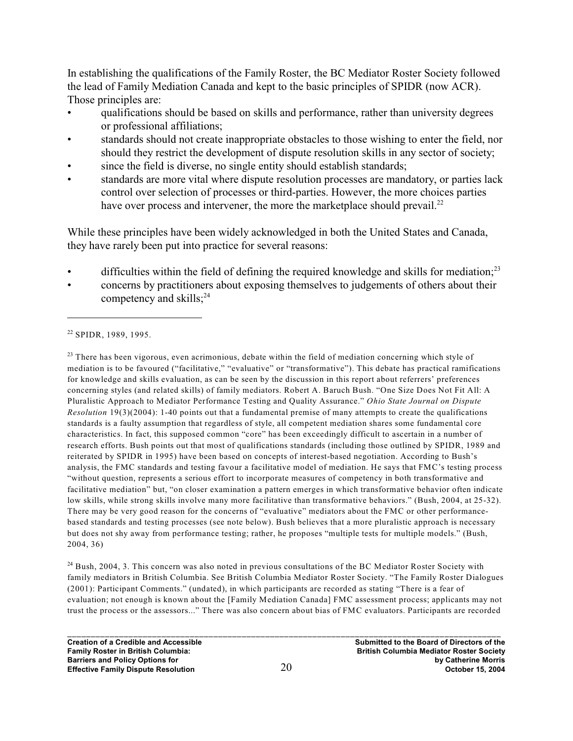In establishing the qualifications of the Family Roster, the BC Mediator Roster Society followed the lead of Family Mediation Canada and kept to the basic principles of SPIDR (now ACR). Those principles are:

- qualifications should be based on skills and performance, rather than university degrees or professional affiliations;
- standards should not create inappropriate obstacles to those wishing to enter the field, nor should they restrict the development of dispute resolution skills in any sector of society;
- since the field is diverse, no single entity should establish standards;
- standards are more vital where dispute resolution processes are mandatory, or parties lack control over selection of processes or third-parties. However, the more choices parties have over process and intervener, the more the marketplace should prevail.<sup>22</sup>

While these principles have been widely acknowledged in both the United States and Canada, they have rarely been put into practice for several reasons:

- difficulties within the field of defining the required knowledge and skills for mediation;<sup>23</sup>
- concerns by practitioners about exposing themselves to judgements of others about their competency and skills; $^{24}$

 $23$  There has been vigorous, even acrimonious, debate within the field of mediation concerning which style of mediation is to be favoured ("facilitative," "evaluative" or "transformative"). This debate has practical ramifications for knowledge and skills evaluation, as can be seen by the discussion in this report about referrers' preferences concerning styles (and related skills) of family mediators. Robert A. Baruch Bush. "One Size Does Not Fit All: A Pluralistic Approach to Mediator Performance Testing and Quality Assurance." *Ohio State Journal on Dispute Resolution* 19(3)(2004): 1-40 points out that a fundamental premise of many attempts to create the qualifications standards is a faulty assumption that regardless of style, all competent mediation shares some fundamental core characteristics. In fact, this supposed common "core" has been exceedingly difficult to ascertain in a number of research efforts. Bush points out that most of qualifications standards (including those outlined by SPIDR, 1989 and reiterated by SPIDR in 1995) have been based on concepts of interest-based negotiation. According to Bush's analysis, the FMC standards and testing favour a facilitative model of mediation. He says that FMC's testing process "without question, represents a serious effort to incorporate measures of competency in both transformative and facilitative mediation" but, "on closer examination a pattern emerges in which transformative behavior often indicate low skills, while strong skills involve many more facilitative than transformative behaviors." (Bush, 2004, at 25-32). There may be very good reason for the concerns of "evaluative" mediators about the FMC or other performancebased standards and testing processes (see note below). Bush believes that a more pluralistic approach is necessary but does not shy away from performance testing; rather, he proposes "multiple tests for multiple models." (Bush, 2004, 36)

 $^{24}$  Bush, 2004, 3. This concern was also noted in previous consultations of the BC Mediator Roster Society with family mediators in British Columbia. See British Columbia Mediator Roster Society. "The Family Roster Dialogues (2001): Participant Comments." (undated), in which participants are recorded as stating "There is a fear of evaluation; not enough is known about the [Family Mediation Canada] FMC assessment process; applicants may not trust the process or the assessors..." There was also concern about bias of FMC evaluators. Participants are recorded

 $22$  SPIDR, 1989, 1995.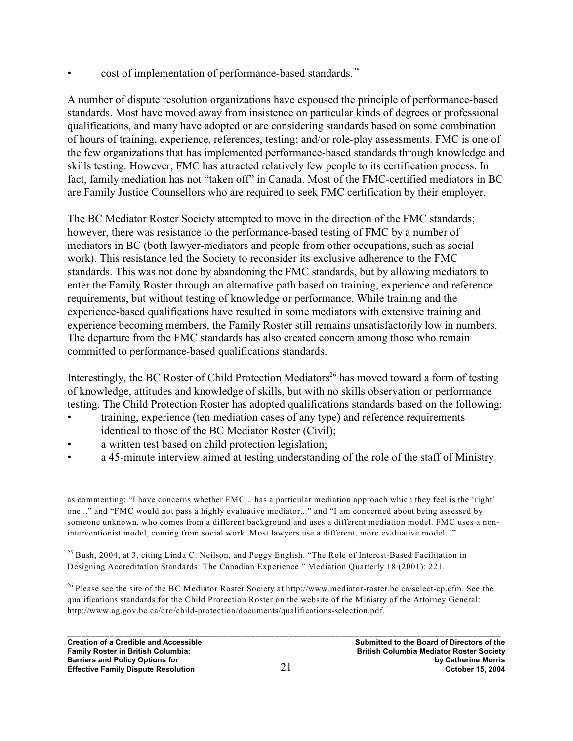cost of implementation of performance-based standards.<sup>25</sup>

A number of dispute resolution organizations have espoused the principle of performance-based standards. Most have moved away from insistence on particular kinds of degrees or professional qualifications, and many have adopted or are considering standards based on some combination of hours of training, experience, references, testing; and/or role-play assessments. FMC is one of the few organizations that has implemented performance-based standards through knowledge and skills testing. However, FMC has attracted relatively few people to its certification process. In fact, family mediation has not "taken off" in Canada. Most of the FMC-certified mediators in BC are Family Justice Counsellors who are required to seek FMC certification by their employer.

The BC Mediator Roster Society attempted to move in the direction of the FMC standards; however, there was resistance to the performance-based testing of FMC by a number of mediators in BC (both lawyer-mediators and people from other occupations, such as social work). This resistance led the Society to reconsider its exclusive adherence to the FMC standards. This was not done by abandoning the FMC standards, but by allowing mediators to enter the Family Roster through an alternative path based on training, experience and reference requirements, but without testing of knowledge or performance. While training and the experience-based qualifications have resulted in some mediators with extensive training and experience becoming members, the Family Roster still remains unsatisfactorily low in numbers. The departure from the FMC standards has also created concern among those who remain committed to performance-based qualifications standards.

Interestingly, the BC Roster of Child Protection Mediators<sup>26</sup> has moved toward a form of testing of knowledge, attitudes and knowledge of skills, but with no skills observation or performance testing. The Child Protection Roster has adopted qualifications standards based on the following:

- training, experience (ten mediation cases of any type) and reference requirements identical to those of the BC Mediator Roster (Civil);
- a written test based on child protection legislation;
- a 45-minute interview aimed at testing understanding of the role of the staff of Ministry

as commenting: "I have concerns whether FMC... has a particular mediation approach which they feel is the 'right' one..." and "FMC would not pass a highly evaluative mediator..." and "I am concerned about being assessed by someone unknown, who comes from a different background and uses a different mediation model. FMC uses a noninterventionist model, coming from social work. Most lawyers use a different, more evaluative model..."

 $^{25}$  Bush, 2004, at 3, citing Linda C. Neilson, and Peggy English. "The Role of Interest-Based Facilitation in Designing Accreditation Standards: The Canadian Experience." Mediation Quarterly 18 (2001): 221.

<sup>&</sup>lt;sup>26</sup> Please see the site of the BC Mediator Roster Society at http://www.mediator-roster.bc.ca/select-cp.cfm. See the qualifications standards for the Child Protection Roster on the website of the Ministry of the Attorney General: http://www.ag.gov.bc.ca/dro/child-protection/documents/qualifications-selection.pdf.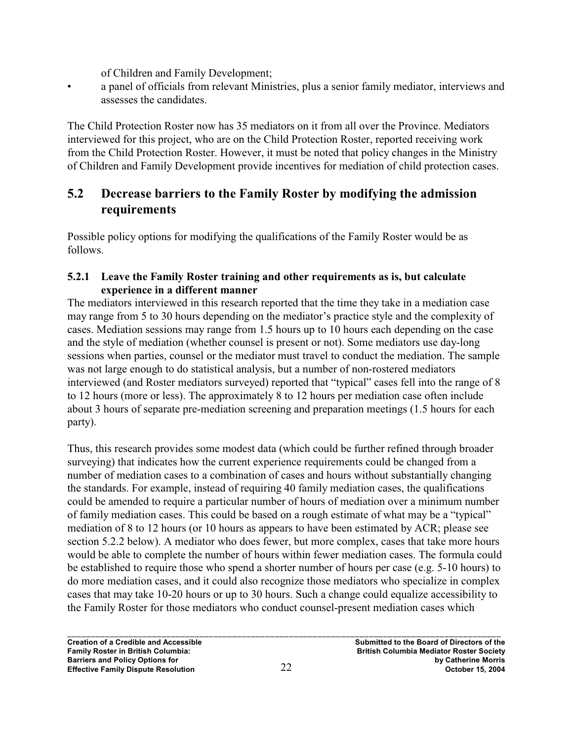of Children and Family Development;

• a panel of officials from relevant Ministries, plus a senior family mediator, interviews and assesses the candidates.

The Child Protection Roster now has 35 mediators on it from all over the Province. Mediators interviewed for this project, who are on the Child Protection Roster, reported receiving work from the Child Protection Roster. However, it must be noted that policy changes in the Ministry of Children and Family Development provide incentives for mediation of child protection cases.

# **5.2 Decrease barriers to the Family Roster by modifying the admission requirements**

Possible policy options for modifying the qualifications of the Family Roster would be as follows.

#### **5.2.1 Leave the Family Roster training and other requirements as is, but calculate experience in a different manner**

The mediators interviewed in this research reported that the time they take in a mediation case may range from 5 to 30 hours depending on the mediator's practice style and the complexity of cases. Mediation sessions may range from 1.5 hours up to 10 hours each depending on the case and the style of mediation (whether counsel is present or not). Some mediators use day-long sessions when parties, counsel or the mediator must travel to conduct the mediation. The sample was not large enough to do statistical analysis, but a number of non-rostered mediators interviewed (and Roster mediators surveyed) reported that "typical" cases fell into the range of 8 to 12 hours (more or less). The approximately 8 to 12 hours per mediation case often include about 3 hours of separate pre-mediation screening and preparation meetings (1.5 hours for each party).

Thus, this research provides some modest data (which could be further refined through broader surveying) that indicates how the current experience requirements could be changed from a number of mediation cases to a combination of cases and hours without substantially changing the standards. For example, instead of requiring 40 family mediation cases, the qualifications could be amended to require a particular number of hours of mediation over a minimum number of family mediation cases. This could be based on a rough estimate of what may be a "typical" mediation of 8 to 12 hours (or 10 hours as appears to have been estimated by ACR; please see section 5.2.2 below). A mediator who does fewer, but more complex, cases that take more hours would be able to complete the number of hours within fewer mediation cases. The formula could be established to require those who spend a shorter number of hours per case (e.g. 5-10 hours) to do more mediation cases, and it could also recognize those mediators who specialize in complex cases that may take 10-20 hours or up to 30 hours. Such a change could equalize accessibility to the Family Roster for those mediators who conduct counsel-present mediation cases which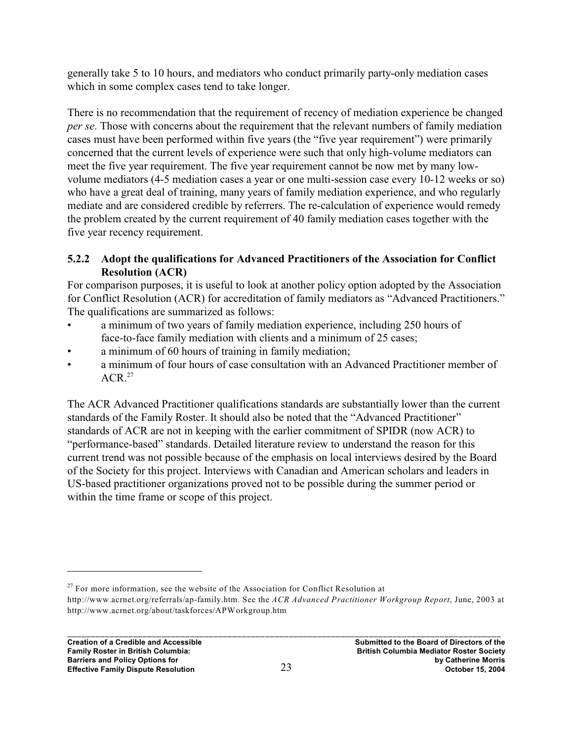generally take 5 to 10 hours, and mediators who conduct primarily party-only mediation cases which in some complex cases tend to take longer.

There is no recommendation that the requirement of recency of mediation experience be changed *per se*. Those with concerns about the requirement that the relevant numbers of family mediation cases must have been performed within five years (the "five year requirement") were primarily concerned that the current levels of experience were such that only high-volume mediators can meet the five year requirement. The five year requirement cannot be now met by many lowvolume mediators (4-5 mediation cases a year or one multi-session case every 10-12 weeks or so) who have a great deal of training, many years of family mediation experience, and who regularly mediate and are considered credible by referrers. The re-calculation of experience would remedy the problem created by the current requirement of 40 family mediation cases together with the five year recency requirement.

#### **5.2.2 Adopt the qualifications for Advanced Practitioners of the Association for Conflict Resolution (ACR)**

For comparison purposes, it is useful to look at another policy option adopted by the Association for Conflict Resolution (ACR) for accreditation of family mediators as "Advanced Practitioners." The qualifications are summarized as follows:

- a minimum of two years of family mediation experience, including 250 hours of face-to-face family mediation with clients and a minimum of 25 cases;
- a minimum of 60 hours of training in family mediation;
- a minimum of four hours of case consultation with an Advanced Practitioner member of  $ACR<sup>27</sup>$

The ACR Advanced Practitioner qualifications standards are substantially lower than the current standards of the Family Roster. It should also be noted that the "Advanced Practitioner" standards of ACR are not in keeping with the earlier commitment of SPIDR (now ACR) to "performance-based" standards. Detailed literature review to understand the reason for this current trend was not possible because of the emphasis on local interviews desired by the Board of the Society for this project. Interviews with Canadian and American scholars and leaders in US-based practitioner organizations proved not to be possible during the summer period or within the time frame or scope of this project.

 $27$  For more information, see the website of the Association for Conflict Resolution at

http://www.acrnet.org/referrals/ap-family.htm. See the *ACR Advanced Practitioner Workgroup Report*, June, 2003 at http://www.acrnet.org/about/taskforces/APWorkgroup.htm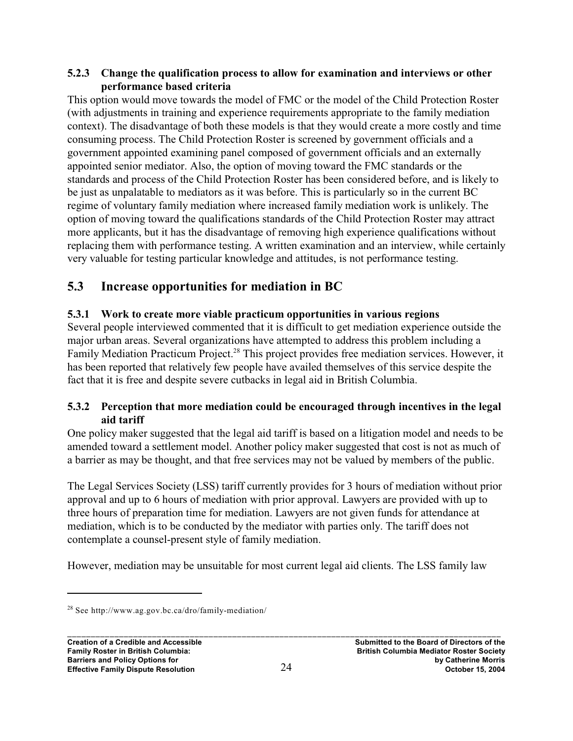#### **5.2.3 Change the qualification process to allow for examination and interviews or other performance based criteria**

This option would move towards the model of FMC or the model of the Child Protection Roster (with adjustments in training and experience requirements appropriate to the family mediation context). The disadvantage of both these models is that they would create a more costly and time consuming process. The Child Protection Roster is screened by government officials and a government appointed examining panel composed of government officials and an externally appointed senior mediator. Also, the option of moving toward the FMC standards or the standards and process of the Child Protection Roster has been considered before, and is likely to be just as unpalatable to mediators as it was before. This is particularly so in the current BC regime of voluntary family mediation where increased family mediation work is unlikely. The option of moving toward the qualifications standards of the Child Protection Roster may attract more applicants, but it has the disadvantage of removing high experience qualifications without replacing them with performance testing. A written examination and an interview, while certainly very valuable for testing particular knowledge and attitudes, is not performance testing.

# **5.3 Increase opportunities for mediation in BC**

### **5.3.1 Work to create more viable practicum opportunities in various regions**

Several people interviewed commented that it is difficult to get mediation experience outside the major urban areas. Several organizations have attempted to address this problem including a Family Mediation Practicum Project.<sup>28</sup> This project provides free mediation services. However, it has been reported that relatively few people have availed themselves of this service despite the fact that it is free and despite severe cutbacks in legal aid in British Columbia.

#### **5.3.2 Perception that more mediation could be encouraged through incentives in the legal aid tariff**

One policy maker suggested that the legal aid tariff is based on a litigation model and needs to be amended toward a settlement model. Another policy maker suggested that cost is not as much of a barrier as may be thought, and that free services may not be valued by members of the public.

The Legal Services Society (LSS) tariff currently provides for 3 hours of mediation without prior approval and up to 6 hours of mediation with prior approval. Lawyers are provided with up to three hours of preparation time for mediation. Lawyers are not given funds for attendance at mediation, which is to be conducted by the mediator with parties only. The tariff does not contemplate a counsel-present style of family mediation.

However, mediation may be unsuitable for most current legal aid clients. The LSS family law

 $28$  See http://www.ag.gov.bc.ca/dro/family-mediation/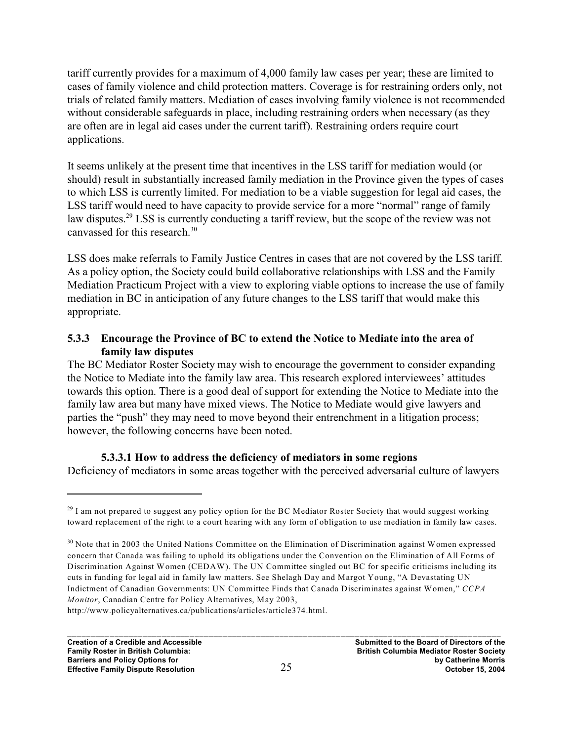tariff currently provides for a maximum of 4,000 family law cases per year; these are limited to cases of family violence and child protection matters. Coverage is for restraining orders only, not trials of related family matters. Mediation of cases involving family violence is not recommended without considerable safeguards in place, including restraining orders when necessary (as they are often are in legal aid cases under the current tariff). Restraining orders require court applications.

It seems unlikely at the present time that incentives in the LSS tariff for mediation would (or should) result in substantially increased family mediation in the Province given the types of cases to which LSS is currently limited. For mediation to be a viable suggestion for legal aid cases, the LSS tariff would need to have capacity to provide service for a more "normal" range of family law disputes.<sup>29</sup> LSS is currently conducting a tariff review, but the scope of the review was not canvassed for this research.<sup>30</sup>

LSS does make referrals to Family Justice Centres in cases that are not covered by the LSS tariff. As a policy option, the Society could build collaborative relationships with LSS and the Family Mediation Practicum Project with a view to exploring viable options to increase the use of family mediation in BC in anticipation of any future changes to the LSS tariff that would make this appropriate.

#### **5.3.3 Encourage the Province of BC to extend the Notice to Mediate into the area of family law disputes**

The BC Mediator Roster Society may wish to encourage the government to consider expanding the Notice to Mediate into the family law area. This research explored interviewees' attitudes towards this option. There is a good deal of support for extending the Notice to Mediate into the family law area but many have mixed views. The Notice to Mediate would give lawyers and parties the "push" they may need to move beyond their entrenchment in a litigation process; however, the following concerns have been noted.

#### **5.3.3.1 How to address the deficiency of mediators in some regions**

Deficiency of mediators in some areas together with the perceived adversarial culture of lawyers

http://www.policyalternatives.ca/publications/articles/article374.html.

 $^{29}$  I am not prepared to suggest any policy option for the BC Mediator Roster Society that would suggest working toward replacement of the right to a court hearing with any form of obligation to use mediation in family law cases.

<sup>&</sup>lt;sup>30</sup> Note that in 2003 the United Nations Committee on the Elimination of Discrimination against Women expressed concern that Canada was failing to uphold its obligations under the Convention on the Elimination of All Forms of Discrimination Against Women (CEDAW). The UN Committee singled out BC for specific criticisms including its cuts in funding for legal aid in family law matters. See Shelagh Day and Margot Young, "A Devastating UN Indictment of Canadian Governments: UN Committee Finds that Canada Discriminates against Women," *CCPA Monitor*, Canadian Centre for Policy Alternatives, May 2003,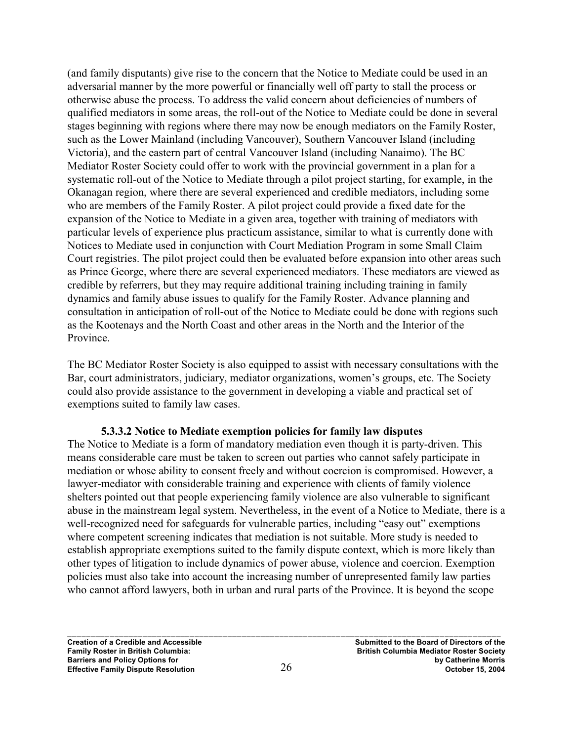(and family disputants) give rise to the concern that the Notice to Mediate could be used in an adversarial manner by the more powerful or financially well off party to stall the process or otherwise abuse the process. To address the valid concern about deficiencies of numbers of qualified mediators in some areas, the roll-out of the Notice to Mediate could be done in several stages beginning with regions where there may now be enough mediators on the Family Roster, such as the Lower Mainland (including Vancouver), Southern Vancouver Island (including Victoria), and the eastern part of central Vancouver Island (including Nanaimo). The BC Mediator Roster Society could offer to work with the provincial government in a plan for a systematic roll-out of the Notice to Mediate through a pilot project starting, for example, in the Okanagan region, where there are several experienced and credible mediators, including some who are members of the Family Roster. A pilot project could provide a fixed date for the expansion of the Notice to Mediate in a given area, together with training of mediators with particular levels of experience plus practicum assistance, similar to what is currently done with Notices to Mediate used in conjunction with Court Mediation Program in some Small Claim Court registries. The pilot project could then be evaluated before expansion into other areas such as Prince George, where there are several experienced mediators. These mediators are viewed as credible by referrers, but they may require additional training including training in family dynamics and family abuse issues to qualify for the Family Roster. Advance planning and consultation in anticipation of roll-out of the Notice to Mediate could be done with regions such as the Kootenays and the North Coast and other areas in the North and the Interior of the Province.

The BC Mediator Roster Society is also equipped to assist with necessary consultations with the Bar, court administrators, judiciary, mediator organizations, women's groups, etc. The Society could also provide assistance to the government in developing a viable and practical set of exemptions suited to family law cases.

#### **5.3.3.2 Notice to Mediate exemption policies for family law disputes**

The Notice to Mediate is a form of mandatory mediation even though it is party-driven. This means considerable care must be taken to screen out parties who cannot safely participate in mediation or whose ability to consent freely and without coercion is compromised. However, a lawyer-mediator with considerable training and experience with clients of family violence shelters pointed out that people experiencing family violence are also vulnerable to significant abuse in the mainstream legal system. Nevertheless, in the event of a Notice to Mediate, there is a well-recognized need for safeguards for vulnerable parties, including "easy out" exemptions where competent screening indicates that mediation is not suitable. More study is needed to establish appropriate exemptions suited to the family dispute context, which is more likely than other types of litigation to include dynamics of power abuse, violence and coercion. Exemption policies must also take into account the increasing number of unrepresented family law parties who cannot afford lawyers, both in urban and rural parts of the Province. It is beyond the scope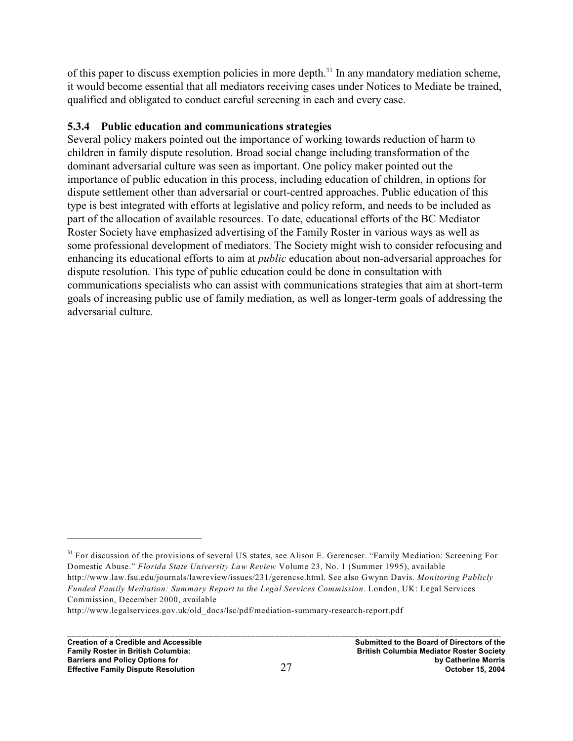of this paper to discuss exemption policies in more depth.<sup>31</sup> In any mandatory mediation scheme, it would become essential that all mediators receiving cases under Notices to Mediate be trained, qualified and obligated to conduct careful screening in each and every case.

#### **5.3.4 Public education and communications strategies**

Several policy makers pointed out the importance of working towards reduction of harm to children in family dispute resolution. Broad social change including transformation of the dominant adversarial culture was seen as important. One policy maker pointed out the importance of public education in this process, including education of children, in options for dispute settlement other than adversarial or court-centred approaches. Public education of this type is best integrated with efforts at legislative and policy reform, and needs to be included as part of the allocation of available resources. To date, educational efforts of the BC Mediator Roster Society have emphasized advertising of the Family Roster in various ways as well as some professional development of mediators. The Society might wish to consider refocusing and enhancing its educational efforts to aim at *public* education about non-adversarial approaches for dispute resolution. This type of public education could be done in consultation with communications specialists who can assist with communications strategies that aim at short-term goals of increasing public use of family mediation, as well as longer-term goals of addressing the adversarial culture.

<sup>&</sup>lt;sup>31</sup> For discussion of the provisions of several US states, see Alison E. Gerencser. "Family Mediation: Screening For Domestic Abuse." *Florida State University Law Review* Volume 23, No. 1 (Summer 1995), available http://www.law.fsu.edu/journals/lawreview/issues/231/gerencse.html. See also Gwynn Davis. *Monitoring Publicly Funded Family Mediation: Summary Report to the Legal Services Commission*. London, UK: Legal Services Commission, December 2000, available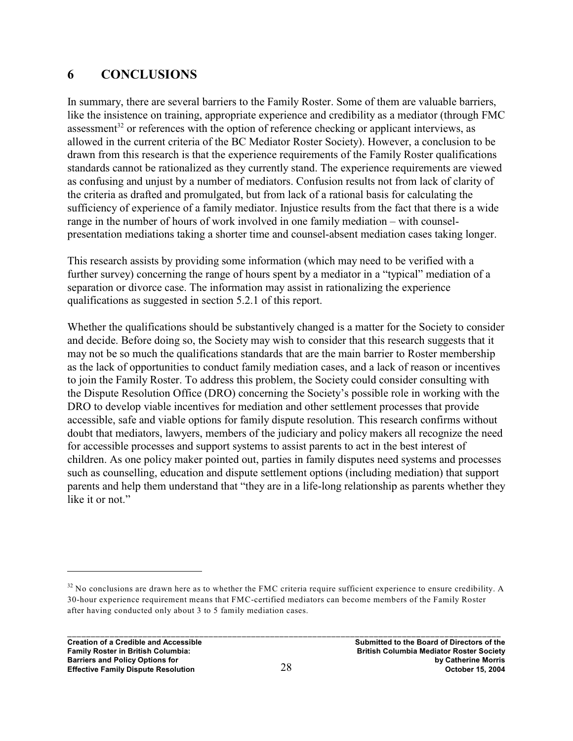# **6 CONCLUSIONS**

In summary, there are several barriers to the Family Roster. Some of them are valuable barriers, like the insistence on training, appropriate experience and credibility as a mediator (through FMC assessment<sup>32</sup> or references with the option of reference checking or applicant interviews, as allowed in the current criteria of the BC Mediator Roster Society). However, a conclusion to be drawn from this research is that the experience requirements of the Family Roster qualifications standards cannot be rationalized as they currently stand. The experience requirements are viewed as confusing and unjust by a number of mediators. Confusion results not from lack of clarity of the criteria as drafted and promulgated, but from lack of a rational basis for calculating the sufficiency of experience of a family mediator. Injustice results from the fact that there is a wide range in the number of hours of work involved in one family mediation – with counselpresentation mediations taking a shorter time and counsel-absent mediation cases taking longer.

This research assists by providing some information (which may need to be verified with a further survey) concerning the range of hours spent by a mediator in a "typical" mediation of a separation or divorce case. The information may assist in rationalizing the experience qualifications as suggested in section 5.2.1 of this report.

Whether the qualifications should be substantively changed is a matter for the Society to consider and decide. Before doing so, the Society may wish to consider that this research suggests that it may not be so much the qualifications standards that are the main barrier to Roster membership as the lack of opportunities to conduct family mediation cases, and a lack of reason or incentives to join the Family Roster. To address this problem, the Society could consider consulting with the Dispute Resolution Office (DRO) concerning the Society's possible role in working with the DRO to develop viable incentives for mediation and other settlement processes that provide accessible, safe and viable options for family dispute resolution. This research confirms without doubt that mediators, lawyers, members of the judiciary and policy makers all recognize the need for accessible processes and support systems to assist parents to act in the best interest of children. As one policy maker pointed out, parties in family disputes need systems and processes such as counselling, education and dispute settlement options (including mediation) that support parents and help them understand that "they are in a life-long relationship as parents whether they like it or not."

 $32$  No conclusions are drawn here as to whether the FMC criteria require sufficient experience to ensure credibility. A 30-hour experience requirement means that FMC-certified mediators can become members of the Family Roster after having conducted only about 3 to 5 family mediation cases.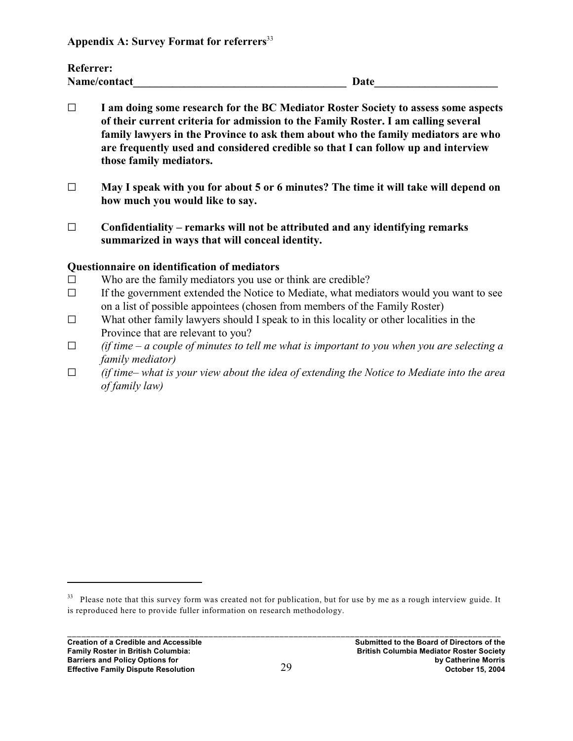**Appendix A: Survey Format for referrers** 33

| <b>Referrer:</b> |             |
|------------------|-------------|
| Name/contact     | <b>Date</b> |

- G **I am doing some research for the BC Mediator Roster Society to assess some aspects of their current criteria for admission to the Family Roster. I am calling several family lawyers in the Province to ask them about who the family mediators are who are frequently used and considered credible so that I can follow up and interview those family mediators.**
- G **May I speak with you for about 5 or 6 minutes? The time it will take will depend on how much you would like to say.**
- $\Box$  Confidentiality remarks will not be attributed and any identifying remarks **summarized in ways that will conceal identity.**

#### **Questionnaire on identification of mediators**

- $\square$  Who are the family mediators you use or think are credible?
- $\Box$  If the government extended the Notice to Mediate, what mediators would you want to see on a list of possible appointees (chosen from members of the Family Roster)
- $\Box$  What other family lawyers should I speak to in this locality or other localities in the Province that are relevant to you?
- *G (if time a couple of minutes to tell me what is important to you when you are selecting a family mediator)*
- *G (if time– what is your view about the idea of extending the Notice to Mediate into the area of family law)*

 $33$  Please note that this survey form was created not for publication, but for use by me as a rough interview guide. It is reproduced here to provide fuller information on research methodology.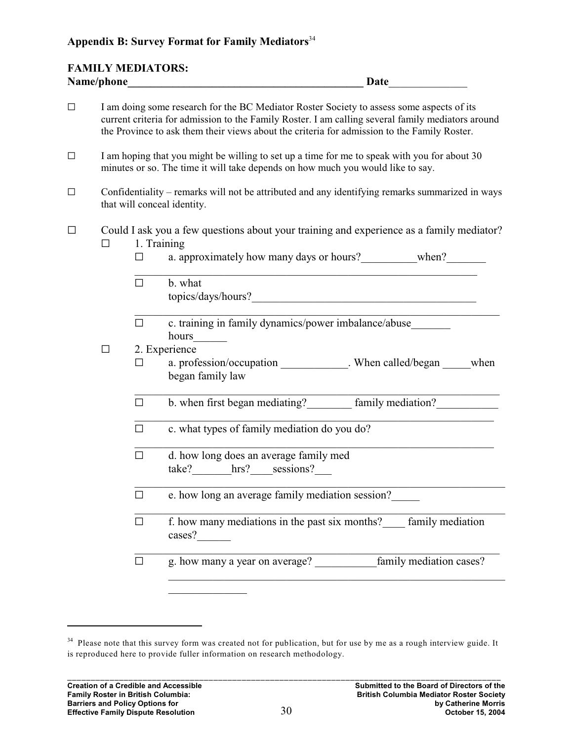#### **Appendix B: Survey Format for Family Mediators**<sup>34</sup>

### **FAMILY MEDIATORS: Name/phone\_\_\_\_\_\_\_\_\_\_\_\_\_\_\_\_\_\_\_\_\_\_\_\_\_\_\_\_\_\_\_\_\_\_\_\_\_\_\_\_\_\_ Date**\_\_\_\_\_\_\_\_\_\_\_\_\_\_

| $\Box$ | I am doing some research for the BC Mediator Roster Society to assess some aspects of its<br>current criteria for admission to the Family Roster. I am calling several family mediators around<br>the Province to ask them their views about the criteria for admission to the Family Roster. |                                                                                                                                                                                 |                                                                                                                                                                             |  |  |
|--------|-----------------------------------------------------------------------------------------------------------------------------------------------------------------------------------------------------------------------------------------------------------------------------------------------|---------------------------------------------------------------------------------------------------------------------------------------------------------------------------------|-----------------------------------------------------------------------------------------------------------------------------------------------------------------------------|--|--|
| $\Box$ |                                                                                                                                                                                                                                                                                               | I am hoping that you might be willing to set up a time for me to speak with you for about 30<br>minutes or so. The time it will take depends on how much you would like to say. |                                                                                                                                                                             |  |  |
| $\Box$ | Confidentiality – remarks will not be attributed and any identifying remarks summarized in ways<br>that will conceal identity.                                                                                                                                                                |                                                                                                                                                                                 |                                                                                                                                                                             |  |  |
| $\Box$ |                                                                                                                                                                                                                                                                                               | 1. Training<br>$\Box$<br>П.                                                                                                                                                     | Could I ask you a few questions about your training and experience as a family mediator?<br>a. approximately how many days or hours? when?<br>b. what<br>topics/days/hours? |  |  |
|        |                                                                                                                                                                                                                                                                                               | $\Box$                                                                                                                                                                          | c. training in family dynamics/power imbalance/abuse_______<br>hours                                                                                                        |  |  |
|        | $\Box$                                                                                                                                                                                                                                                                                        | $\Box$                                                                                                                                                                          | 2. Experience<br>a. profession/occupation _______________. When called/began ______ when<br>began family law                                                                |  |  |
|        |                                                                                                                                                                                                                                                                                               | $\Box$                                                                                                                                                                          | b. when first began mediating? [100] family mediation?                                                                                                                      |  |  |
|        |                                                                                                                                                                                                                                                                                               | $\Box$                                                                                                                                                                          | c. what types of family mediation do you do?                                                                                                                                |  |  |
|        |                                                                                                                                                                                                                                                                                               | $\Box$                                                                                                                                                                          | d. how long does an average family med<br>take? hrs? sessions?                                                                                                              |  |  |
|        |                                                                                                                                                                                                                                                                                               | $\Box$                                                                                                                                                                          | e. how long an average family mediation session?                                                                                                                            |  |  |
|        |                                                                                                                                                                                                                                                                                               | $\Box$                                                                                                                                                                          | f. how many mediations in the past six months? <u>Family mediation</u><br>cases?                                                                                            |  |  |
|        |                                                                                                                                                                                                                                                                                               | $\Box$                                                                                                                                                                          | g. how many a year on average? family mediation cases?                                                                                                                      |  |  |
|        |                                                                                                                                                                                                                                                                                               |                                                                                                                                                                                 |                                                                                                                                                                             |  |  |

 $\mathcal{L}_\text{max}$ 

<sup>&</sup>lt;sup>34</sup> Please note that this survey form was created not for publication, but for use by me as a rough interview guide. It is reproduced here to provide fuller information on research methodology.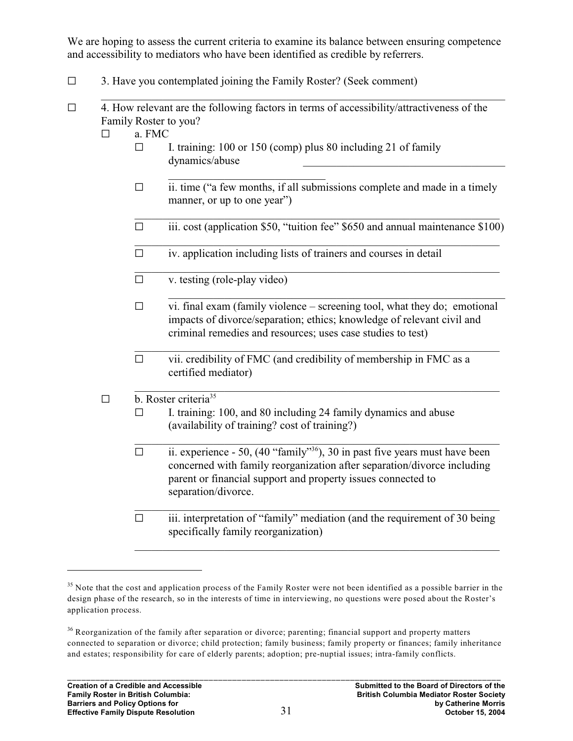We are hoping to assess the current criteria to examine its balance between ensuring competence and accessibility to mediators who have been identified as credible by referrers.

- $\Box$  3. Have you contemplated joining the Family Roster? (Seek comment)
- $\Box$  4. How relevant are the following factors in terms of accessibility/attractiveness of the Family Roster to you?
	- $\Box$  a. FMC
		- $\square$  I. training: 100 or 150 (comp) plus 80 including 21 of family dynamics/abuse \_\_\_\_\_\_\_\_\_\_\_\_\_\_\_\_\_\_\_\_\_\_\_\_\_\_\_\_\_\_\_\_\_\_\_\_
		- \_\_\_\_\_\_\_\_\_\_\_\_\_\_\_\_\_\_\_\_\_\_\_\_\_\_\_\_  $\Box$  ii. time ("a few months, if all submissions complete and made in a timely manner, or up to one year")
		- $\Box$  iii. cost (application \$50, "tuition fee" \$650 and annual maintenance \$100)
		- \_\_\_\_\_\_\_\_\_\_\_\_\_\_\_\_\_\_\_\_\_\_\_\_\_\_\_\_\_\_\_\_\_\_\_\_\_\_\_\_\_\_\_\_\_\_\_\_\_\_\_\_\_\_\_\_\_\_\_\_\_\_\_\_\_  $\Box$  iv. application including lists of trainers and courses in detail
		- \_\_\_\_\_\_\_\_\_\_\_\_\_\_\_\_\_\_\_\_\_\_\_\_\_\_\_\_\_\_\_\_\_\_\_\_\_\_\_\_\_\_\_\_\_\_\_\_\_\_\_\_\_\_\_\_\_\_\_\_\_\_\_\_\_  $\Box$  v. testing (role-play video)
		- $\Box$  vi. final exam (family violence screening tool, what they do; emotional impacts of divorce/separation; ethics; knowledge of relevant civil and criminal remedies and resources; uses case studies to test)

\_\_\_\_\_\_\_\_\_\_\_\_\_\_\_\_\_\_\_\_\_\_\_\_\_\_\_\_\_\_\_\_\_\_\_\_\_\_\_\_\_\_\_\_\_\_\_\_\_\_\_\_\_\_\_\_\_\_\_\_

\_\_\_\_\_\_\_\_\_\_\_\_\_\_\_\_\_\_\_\_\_\_\_\_\_\_\_\_\_\_\_\_\_\_\_\_\_\_\_\_\_\_\_\_\_\_\_\_\_\_\_\_\_\_\_\_\_\_\_\_\_\_\_\_\_  $\Box$  vii. credibility of FMC (and credibility of membership in FMC as a certified mediator)

#### \_\_\_\_\_\_\_\_\_\_\_\_\_\_\_\_\_\_\_\_\_\_\_\_\_\_\_\_\_\_\_\_\_\_\_\_\_\_\_\_\_\_\_\_\_\_\_\_\_\_\_\_\_\_\_\_\_\_\_\_\_\_\_\_\_  $\Box$  b. Roster criteria<sup>35</sup>

- $\Box$  I. training: 100, and 80 including 24 family dynamics and abuse (availability of training? cost of training?)
- $\Box$  ii. experience 50, (40 "family"<sup>36</sup>), 30 in past five years must have been concerned with family reorganization after separation/divorce including parent or financial support and property issues connected to separation/divorce.
- \_\_\_\_\_\_\_\_\_\_\_\_\_\_\_\_\_\_\_\_\_\_\_\_\_\_\_\_\_\_\_\_\_\_\_\_\_\_\_\_\_\_\_\_\_\_\_\_\_\_\_\_\_\_\_\_\_\_\_\_\_\_\_\_\_  $\Box$  iii. interpretation of "family" mediation (and the requirement of 30 being specifically family reorganization)

 $35$  Note that the cost and application process of the Family Roster were not been identified as a possible barrier in the design phase of the research, so in the interests of time in interviewing, no questions were posed about the Roster's application process.

<sup>&</sup>lt;sup>36</sup> Reorganization of the family after separation or divorce; parenting; financial support and property matters connected to separation or divorce; child protection; family business; family property or finances; family inheritance and estates; responsibility for care of elderly parents; adoption; pre-nuptial issues; intra-family conflicts.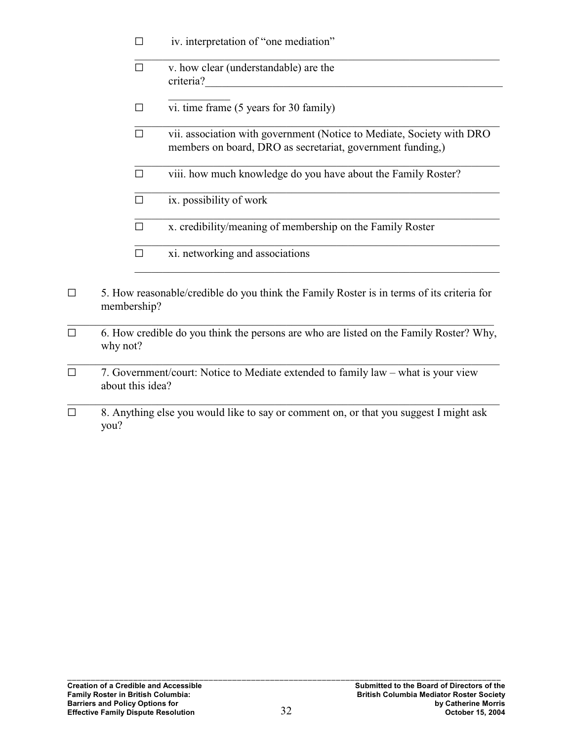| $\Box$ | iv. interpretation of "one mediation" |  |
|--------|---------------------------------------|--|
|        |                                       |  |

| v. how clear (understandable) are the |
|---------------------------------------|
| criteria?                             |

- $\Box$  vi. time frame (5 years for 30 family)
- \_\_\_\_\_\_\_\_\_\_\_\_\_\_\_\_\_\_\_\_\_\_\_\_\_\_\_\_\_\_\_\_\_\_\_\_\_\_\_\_\_\_\_\_\_\_\_\_\_\_\_\_\_\_\_\_\_\_\_\_\_\_\_\_\_  $\Box$  vii. association with government (Notice to Mediate, Society with DRO members on board, DRO as secretariat, government funding,)

\_\_\_\_\_\_\_\_\_\_\_\_\_\_\_\_\_\_\_\_\_\_\_\_\_\_\_\_\_\_\_\_\_\_\_\_\_\_\_\_\_\_\_\_\_\_\_\_\_\_\_\_\_\_\_\_\_\_\_\_\_\_\_\_\_

\_\_\_\_\_\_\_\_\_\_\_\_\_\_\_\_\_\_\_\_\_\_\_\_\_\_\_\_\_\_\_\_\_\_\_\_\_\_\_\_\_\_\_\_\_\_\_\_\_\_\_\_\_\_\_\_\_\_\_\_\_\_\_\_\_

\_\_\_\_\_\_\_\_\_\_\_\_\_\_\_\_\_\_\_\_\_\_\_\_\_\_\_\_\_\_\_\_\_\_\_\_\_\_\_\_\_\_\_\_\_\_\_\_\_\_\_\_\_\_\_\_\_\_\_\_\_\_\_\_\_

- $\square$  viii. how much knowledge do you have about the Family Roster?
- $\Box$  ix. possibility of work
- $\Box$  x. credibility/meaning of membership on the Family Roster
- \_\_\_\_\_\_\_\_\_\_\_\_\_\_\_\_\_\_\_\_\_\_\_\_\_\_\_\_\_\_\_\_\_\_\_\_\_\_\_\_\_\_\_\_\_\_\_\_\_\_\_\_\_\_\_\_\_\_\_\_\_\_\_\_\_  $\square$  xi. networking and associations
- $\Box$  5. How reasonable/credible do you think the Family Roster is in terms of its criteria for membership?
- $\Box$  6. How credible do you think the persons are who are listed on the Family Roster? Why, why not?

\_\_\_\_\_\_\_\_\_\_\_\_\_\_\_\_\_\_\_\_\_\_\_\_\_\_\_\_\_\_\_\_\_\_\_\_\_\_\_\_\_\_\_\_\_\_\_\_\_\_\_\_\_\_\_\_\_\_\_\_\_\_\_\_\_\_\_\_\_\_\_\_\_\_\_\_\_

\_\_\_\_\_\_\_\_\_\_\_\_\_\_\_\_\_\_\_\_\_\_\_\_\_\_\_\_\_\_\_\_\_\_\_\_\_\_\_\_\_\_\_\_\_\_\_\_\_\_\_\_\_\_\_\_\_\_\_\_\_\_\_\_\_\_\_\_\_\_\_\_\_\_\_\_\_

- $\Box$  7. Government/court: Notice to Mediate extended to family law what is your view about this idea?
- $\Box$  8. Anything else you would like to say or comment on, or that you suggest I might ask you?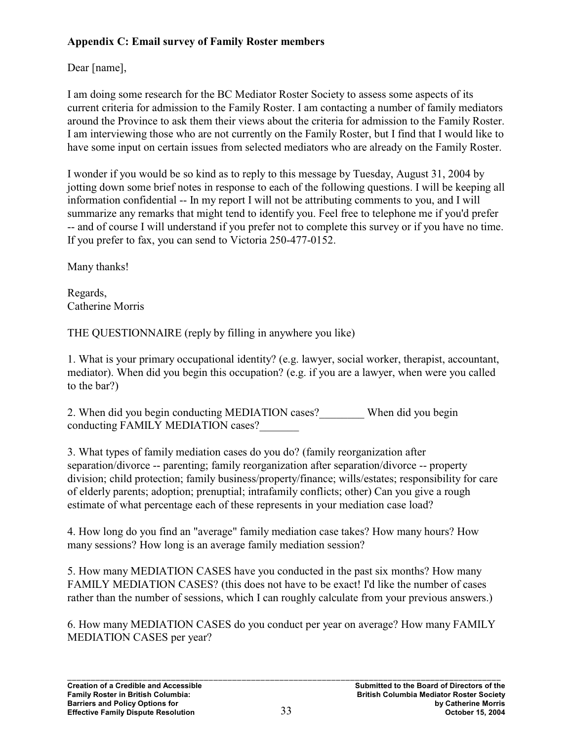### **Appendix C: Email survey of Family Roster members**

Dear [name],

I am doing some research for the BC Mediator Roster Society to assess some aspects of its current criteria for admission to the Family Roster. I am contacting a number of family mediators around the Province to ask them their views about the criteria for admission to the Family Roster. I am interviewing those who are not currently on the Family Roster, but I find that I would like to have some input on certain issues from selected mediators who are already on the Family Roster.

I wonder if you would be so kind as to reply to this message by Tuesday, August 31, 2004 by jotting down some brief notes in response to each of the following questions. I will be keeping all information confidential -- In my report I will not be attributing comments to you, and I will summarize any remarks that might tend to identify you. Feel free to telephone me if you'd prefer -- and of course I will understand if you prefer not to complete this survey or if you have no time. If you prefer to fax, you can send to Victoria 250-477-0152.

Many thanks!

Regards, Catherine Morris

THE QUESTIONNAIRE (reply by filling in anywhere you like)

1. What is your primary occupational identity? (e.g. lawyer, social worker, therapist, accountant, mediator). When did you begin this occupation? (e.g. if you are a lawyer, when were you called to the bar?)

2. When did you begin conducting MEDIATION cases? When did you begin conducting FAMILY MEDIATION cases?

3. What types of family mediation cases do you do? (family reorganization after separation/divorce -- parenting; family reorganization after separation/divorce -- property division; child protection; family business/property/finance; wills/estates; responsibility for care of elderly parents; adoption; prenuptial; intrafamily conflicts; other) Can you give a rough estimate of what percentage each of these represents in your mediation case load?

4. How long do you find an "average" family mediation case takes? How many hours? How many sessions? How long is an average family mediation session?

5. How many MEDIATION CASES have you conducted in the past six months? How many FAMILY MEDIATION CASES? (this does not have to be exact! I'd like the number of cases rather than the number of sessions, which I can roughly calculate from your previous answers.)

6. How many MEDIATION CASES do you conduct per year on average? How many FAMILY MEDIATION CASES per year?